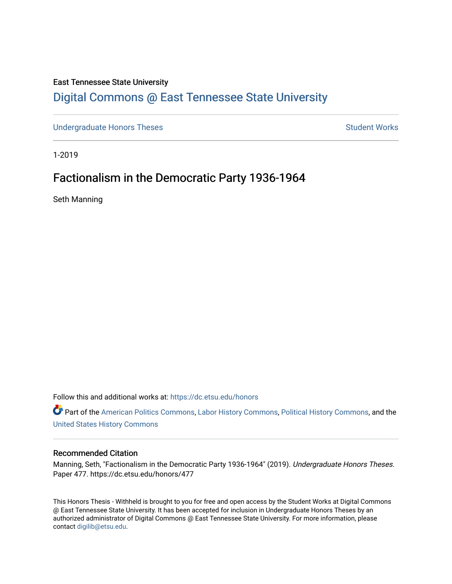## East Tennessee State University

# [Digital Commons @ East Tennessee State University](https://dc.etsu.edu/)

[Undergraduate Honors Theses](https://dc.etsu.edu/honors) Student Works

1-2019

# Factionalism in the Democratic Party 1936-1964

Seth Manning

Follow this and additional works at: [https://dc.etsu.edu/honors](https://dc.etsu.edu/honors?utm_source=dc.etsu.edu%2Fhonors%2F477&utm_medium=PDF&utm_campaign=PDFCoverPages)

Part of the [American Politics Commons,](http://network.bepress.com/hgg/discipline/387?utm_source=dc.etsu.edu%2Fhonors%2F477&utm_medium=PDF&utm_campaign=PDFCoverPages) [Labor History Commons,](http://network.bepress.com/hgg/discipline/1254?utm_source=dc.etsu.edu%2Fhonors%2F477&utm_medium=PDF&utm_campaign=PDFCoverPages) [Political History Commons](http://network.bepress.com/hgg/discipline/505?utm_source=dc.etsu.edu%2Fhonors%2F477&utm_medium=PDF&utm_campaign=PDFCoverPages), and the [United States History Commons](http://network.bepress.com/hgg/discipline/495?utm_source=dc.etsu.edu%2Fhonors%2F477&utm_medium=PDF&utm_campaign=PDFCoverPages)

#### Recommended Citation

Manning, Seth, "Factionalism in the Democratic Party 1936-1964" (2019). Undergraduate Honors Theses. Paper 477. https://dc.etsu.edu/honors/477

This Honors Thesis - Withheld is brought to you for free and open access by the Student Works at Digital Commons @ East Tennessee State University. It has been accepted for inclusion in Undergraduate Honors Theses by an authorized administrator of Digital Commons @ East Tennessee State University. For more information, please contact [digilib@etsu.edu](mailto:digilib@etsu.edu).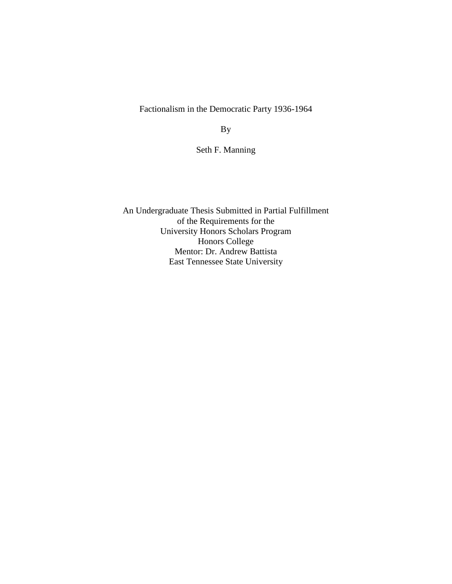Factionalism in the Democratic Party 1936-1964

By

Seth F. Manning

An Undergraduate Thesis Submitted in Partial Fulfillment of the Requirements for the University Honors Scholars Program Honors College Mentor: Dr. Andrew Battista East Tennessee State University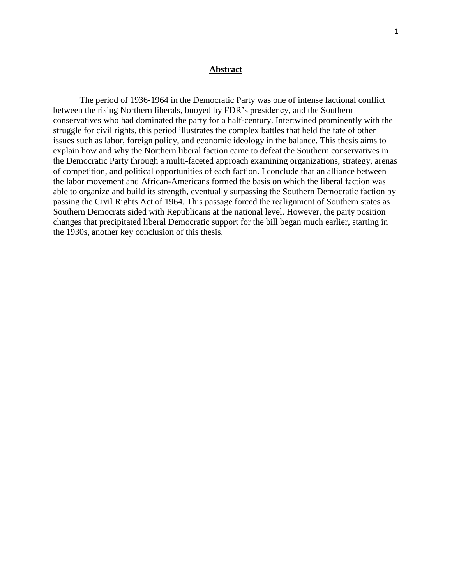#### **Abstract**

The period of 1936-1964 in the Democratic Party was one of intense factional conflict between the rising Northern liberals, buoyed by FDR's presidency, and the Southern conservatives who had dominated the party for a half-century. Intertwined prominently with the struggle for civil rights, this period illustrates the complex battles that held the fate of other issues such as labor, foreign policy, and economic ideology in the balance. This thesis aims to explain how and why the Northern liberal faction came to defeat the Southern conservatives in the Democratic Party through a multi-faceted approach examining organizations, strategy, arenas of competition, and political opportunities of each faction. I conclude that an alliance between the labor movement and African-Americans formed the basis on which the liberal faction was able to organize and build its strength, eventually surpassing the Southern Democratic faction by passing the Civil Rights Act of 1964. This passage forced the realignment of Southern states as Southern Democrats sided with Republicans at the national level. However, the party position changes that precipitated liberal Democratic support for the bill began much earlier, starting in the 1930s, another key conclusion of this thesis.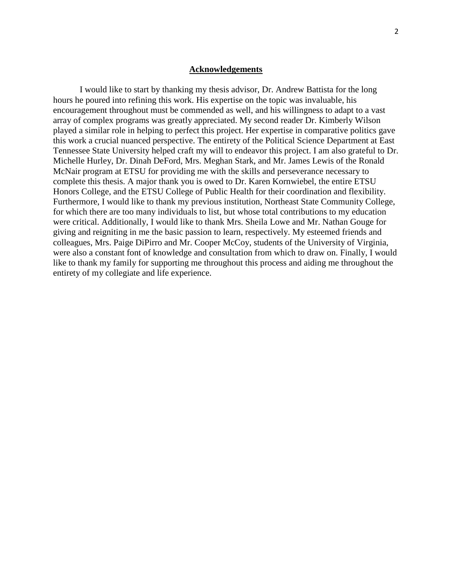#### **Acknowledgements**

I would like to start by thanking my thesis advisor, Dr. Andrew Battista for the long hours he poured into refining this work. His expertise on the topic was invaluable, his encouragement throughout must be commended as well, and his willingness to adapt to a vast array of complex programs was greatly appreciated. My second reader Dr. Kimberly Wilson played a similar role in helping to perfect this project. Her expertise in comparative politics gave this work a crucial nuanced perspective. The entirety of the Political Science Department at East Tennessee State University helped craft my will to endeavor this project. I am also grateful to Dr. Michelle Hurley, Dr. Dinah DeFord, Mrs. Meghan Stark, and Mr. James Lewis of the Ronald McNair program at ETSU for providing me with the skills and perseverance necessary to complete this thesis. A major thank you is owed to Dr. Karen Kornwiebel, the entire ETSU Honors College, and the ETSU College of Public Health for their coordination and flexibility. Furthermore, I would like to thank my previous institution, Northeast State Community College, for which there are too many individuals to list, but whose total contributions to my education were critical. Additionally, I would like to thank Mrs. Sheila Lowe and Mr. Nathan Gouge for giving and reigniting in me the basic passion to learn, respectively. My esteemed friends and colleagues, Mrs. Paige DiPirro and Mr. Cooper McCoy, students of the University of Virginia, were also a constant font of knowledge and consultation from which to draw on. Finally, I would like to thank my family for supporting me throughout this process and aiding me throughout the entirety of my collegiate and life experience.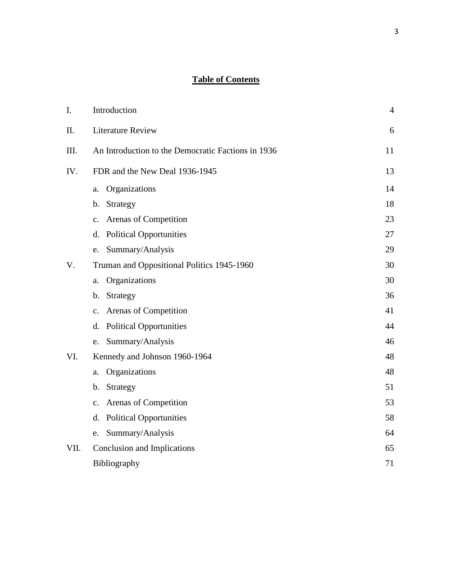# **Table of Contents**

| I.   | Introduction                                       | $\overline{4}$ |
|------|----------------------------------------------------|----------------|
| Π.   | <b>Literature Review</b>                           | 6              |
| Ш.   | An Introduction to the Democratic Factions in 1936 | 11             |
| IV.  | FDR and the New Deal 1936-1945                     | 13             |
|      | Organizations<br>a.                                | 14             |
|      | Strategy<br>b.                                     | 18             |
|      | Arenas of Competition<br>$\mathbf{c}$ .            | 23             |
|      | <b>Political Opportunities</b><br>d.               | 27             |
|      | Summary/Analysis<br>e.                             | 29             |
| V.   | Truman and Oppositional Politics 1945-1960         | 30             |
|      | Organizations<br>a.                                | 30             |
|      | Strategy<br>b.                                     | 36             |
|      | Arenas of Competition<br>c.                        | 41             |
|      | <b>Political Opportunities</b><br>d.               | 44             |
|      | Summary/Analysis<br>e.                             | 46             |
| VI.  | Kennedy and Johnson 1960-1964                      | 48             |
|      | Organizations<br>a.                                | 48             |
|      | Strategy<br>b.                                     | 51             |
|      | c. Arenas of Competition                           | 53             |
|      | <b>Political Opportunities</b><br>d.               | 58             |
|      | Summary/Analysis<br>e.                             | 64             |
| VII. | Conclusion and Implications                        | 65             |
|      | Bibliography                                       | 71             |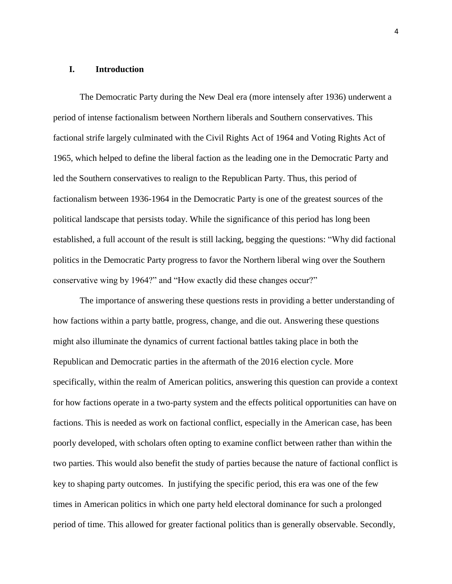## **I. Introduction**

The Democratic Party during the New Deal era (more intensely after 1936) underwent a period of intense factionalism between Northern liberals and Southern conservatives. This factional strife largely culminated with the Civil Rights Act of 1964 and Voting Rights Act of 1965, which helped to define the liberal faction as the leading one in the Democratic Party and led the Southern conservatives to realign to the Republican Party. Thus, this period of factionalism between 1936-1964 in the Democratic Party is one of the greatest sources of the political landscape that persists today. While the significance of this period has long been established, a full account of the result is still lacking, begging the questions: "Why did factional politics in the Democratic Party progress to favor the Northern liberal wing over the Southern conservative wing by 1964?" and "How exactly did these changes occur?"

The importance of answering these questions rests in providing a better understanding of how factions within a party battle, progress, change, and die out. Answering these questions might also illuminate the dynamics of current factional battles taking place in both the Republican and Democratic parties in the aftermath of the 2016 election cycle. More specifically, within the realm of American politics, answering this question can provide a context for how factions operate in a two-party system and the effects political opportunities can have on factions. This is needed as work on factional conflict, especially in the American case, has been poorly developed, with scholars often opting to examine conflict between rather than within the two parties. This would also benefit the study of parties because the nature of factional conflict is key to shaping party outcomes. In justifying the specific period, this era was one of the few times in American politics in which one party held electoral dominance for such a prolonged period of time. This allowed for greater factional politics than is generally observable. Secondly,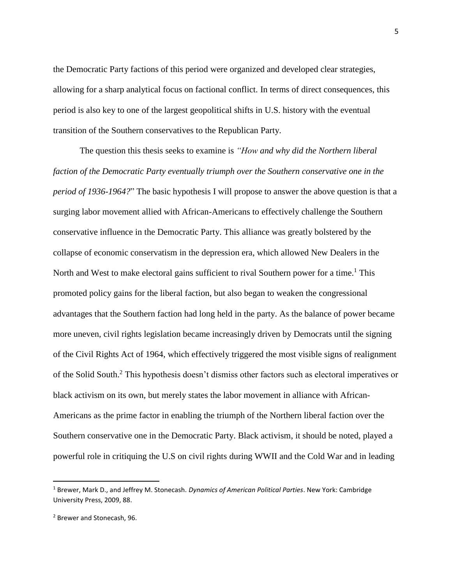the Democratic Party factions of this period were organized and developed clear strategies, allowing for a sharp analytical focus on factional conflict. In terms of direct consequences, this period is also key to one of the largest geopolitical shifts in U.S. history with the eventual transition of the Southern conservatives to the Republican Party.

The question this thesis seeks to examine is *"How and why did the Northern liberal faction of the Democratic Party eventually triumph over the Southern conservative one in the period of 1936-1964?*" The basic hypothesis I will propose to answer the above question is that a surging labor movement allied with African-Americans to effectively challenge the Southern conservative influence in the Democratic Party. This alliance was greatly bolstered by the collapse of economic conservatism in the depression era, which allowed New Dealers in the North and West to make electoral gains sufficient to rival Southern power for a time.<sup>1</sup> This promoted policy gains for the liberal faction, but also began to weaken the congressional advantages that the Southern faction had long held in the party. As the balance of power became more uneven, civil rights legislation became increasingly driven by Democrats until the signing of the Civil Rights Act of 1964, which effectively triggered the most visible signs of realignment of the Solid South. <sup>2</sup> This hypothesis doesn't dismiss other factors such as electoral imperatives or black activism on its own, but merely states the labor movement in alliance with African-Americans as the prime factor in enabling the triumph of the Northern liberal faction over the Southern conservative one in the Democratic Party. Black activism, it should be noted, played a powerful role in critiquing the U.S on civil rights during WWII and the Cold War and in leading

<sup>1</sup> Brewer, Mark D., and Jeffrey M. Stonecash. *Dynamics of American Political Parties*. New York: Cambridge University Press, 2009, 88.

<sup>2</sup> Brewer and Stonecash, 96.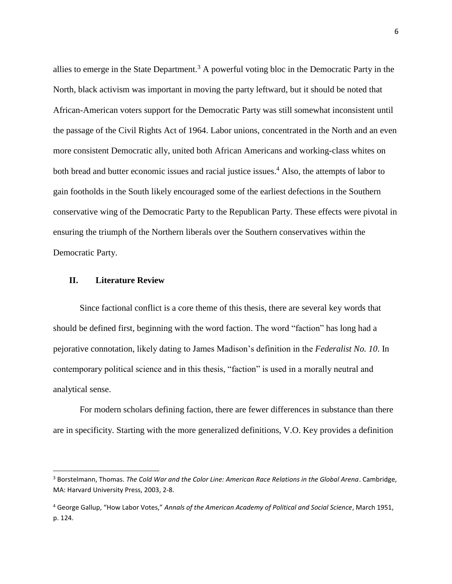allies to emerge in the State Department.<sup>3</sup> A powerful voting bloc in the Democratic Party in the North, black activism was important in moving the party leftward, but it should be noted that African-American voters support for the Democratic Party was still somewhat inconsistent until the passage of the Civil Rights Act of 1964. Labor unions, concentrated in the North and an even more consistent Democratic ally, united both African Americans and working-class whites on both bread and butter economic issues and racial justice issues. <sup>4</sup> Also, the attempts of labor to gain footholds in the South likely encouraged some of the earliest defections in the Southern conservative wing of the Democratic Party to the Republican Party. These effects were pivotal in ensuring the triumph of the Northern liberals over the Southern conservatives within the Democratic Party.

## **II. Literature Review**

l

Since factional conflict is a core theme of this thesis, there are several key words that should be defined first, beginning with the word faction. The word "faction" has long had a pejorative connotation, likely dating to James Madison's definition in the *Federalist No. 10*. In contemporary political science and in this thesis, "faction" is used in a morally neutral and analytical sense.

For modern scholars defining faction, there are fewer differences in substance than there are in specificity. Starting with the more generalized definitions, V.O. Key provides a definition

<sup>3</sup> Borstelmann, Thomas. *The Cold War and the Color Line: American Race Relations in the Global Arena*. Cambridge, MA: Harvard University Press, 2003, 2-8.

<sup>4</sup> George Gallup, "How Labor Votes," *Annals of the American Academy of Political and Social Science*, March 1951, p. 124.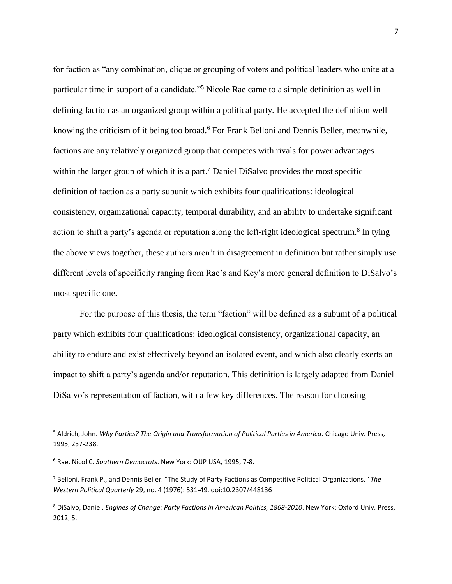for faction as "any combination, clique or grouping of voters and political leaders who unite at a particular time in support of a candidate."<sup>5</sup> Nicole Rae came to a simple definition as well in defining faction as an organized group within a political party. He accepted the definition well knowing the criticism of it being too broad.<sup>6</sup> For Frank Belloni and Dennis Beller, meanwhile, factions are any relatively organized group that competes with rivals for power advantages within the larger group of which it is a part.<sup>7</sup> Daniel DiSalvo provides the most specific definition of faction as a party subunit which exhibits four qualifications: ideological consistency, organizational capacity, temporal durability, and an ability to undertake significant action to shift a party's agenda or reputation along the left-right ideological spectrum.<sup>8</sup> In tying the above views together, these authors aren't in disagreement in definition but rather simply use different levels of specificity ranging from Rae's and Key's more general definition to DiSalvo's most specific one.

For the purpose of this thesis, the term "faction" will be defined as a subunit of a political party which exhibits four qualifications: ideological consistency, organizational capacity, an ability to endure and exist effectively beyond an isolated event, and which also clearly exerts an impact to shift a party's agenda and/or reputation. This definition is largely adapted from Daniel DiSalvo's representation of faction, with a few key differences. The reason for choosing

<sup>5</sup> Aldrich, John. *Why Parties? The Origin and Transformation of Political Parties in America*. Chicago Univ. Press, 1995, 237-238.

<sup>6</sup> Rae, Nicol C. *Southern Democrats*. New York: OUP USA, 1995, 7-8.

<sup>7</sup> Belloni, Frank P., and Dennis Beller. "The Study of Party Factions as Competitive Political Organizations*." The Western Political Quarterly* 29, no. 4 (1976): 531-49. doi:10.2307/448136

<sup>8</sup> DiSalvo, Daniel. *Engines of Change: Party Factions in American Politics, 1868-2010*. New York: Oxford Univ. Press, 2012, 5.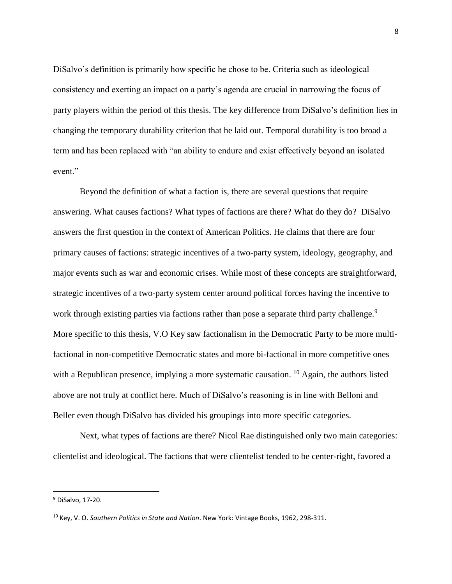DiSalvo's definition is primarily how specific he chose to be. Criteria such as ideological consistency and exerting an impact on a party's agenda are crucial in narrowing the focus of party players within the period of this thesis. The key difference from DiSalvo's definition lies in changing the temporary durability criterion that he laid out. Temporal durability is too broad a term and has been replaced with "an ability to endure and exist effectively beyond an isolated event."

Beyond the definition of what a faction is, there are several questions that require answering. What causes factions? What types of factions are there? What do they do? DiSalvo answers the first question in the context of American Politics. He claims that there are four primary causes of factions: strategic incentives of a two-party system, ideology, geography, and major events such as war and economic crises. While most of these concepts are straightforward, strategic incentives of a two-party system center around political forces having the incentive to work through existing parties via factions rather than pose a separate third party challenge.<sup>9</sup> More specific to this thesis, V.O Key saw factionalism in the Democratic Party to be more multifactional in non-competitive Democratic states and more bi-factional in more competitive ones with a Republican presence, implying a more systematic causation.  $^{10}$  Again, the authors listed above are not truly at conflict here. Much of DiSalvo's reasoning is in line with Belloni and Beller even though DiSalvo has divided his groupings into more specific categories.

Next, what types of factions are there? Nicol Rae distinguished only two main categories: clientelist and ideological. The factions that were clientelist tended to be center-right, favored a

<sup>9</sup> DiSalvo, 17-20.

<sup>10</sup> Key, V. O. *Southern Politics in State and Nation*. New York: Vintage Books, 1962, 298-311.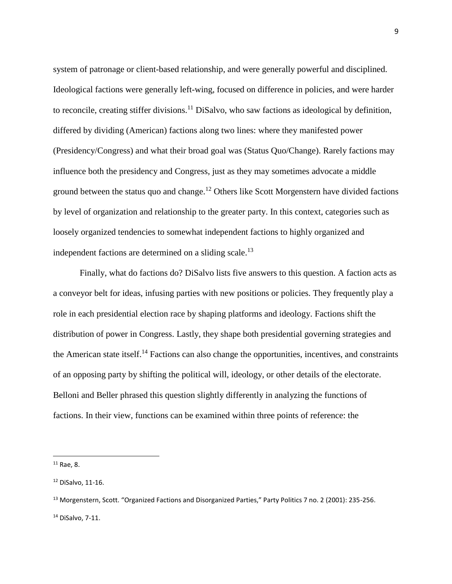system of patronage or client-based relationship, and were generally powerful and disciplined. Ideological factions were generally left-wing, focused on difference in policies, and were harder to reconcile, creating stiffer divisions.<sup>11</sup> DiSalvo, who saw factions as ideological by definition, differed by dividing (American) factions along two lines: where they manifested power (Presidency/Congress) and what their broad goal was (Status Quo/Change). Rarely factions may influence both the presidency and Congress, just as they may sometimes advocate a middle ground between the status quo and change.<sup>12</sup> Others like Scott Morgenstern have divided factions by level of organization and relationship to the greater party. In this context, categories such as loosely organized tendencies to somewhat independent factions to highly organized and independent factions are determined on a sliding scale.<sup>13</sup>

Finally, what do factions do? DiSalvo lists five answers to this question. A faction acts as a conveyor belt for ideas, infusing parties with new positions or policies. They frequently play a role in each presidential election race by shaping platforms and ideology. Factions shift the distribution of power in Congress. Lastly, they shape both presidential governing strategies and the American state itself.<sup>14</sup> Factions can also change the opportunities, incentives, and constraints of an opposing party by shifting the political will, ideology, or other details of the electorate. Belloni and Beller phrased this question slightly differently in analyzing the functions of factions. In their view, functions can be examined within three points of reference: the

 $11$  Rae, 8.

<sup>12</sup> DiSalvo, 11-16.

<sup>13</sup> Morgenstern, Scott. "Organized Factions and Disorganized Parties," Party Politics 7 no. 2 (2001): 235-256. <sup>14</sup> DiSalvo, 7-11.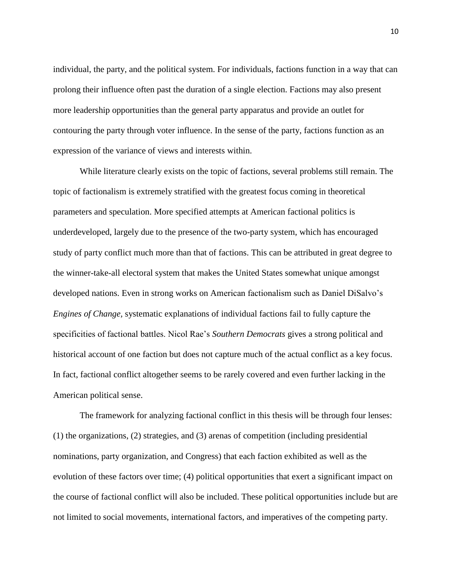individual, the party, and the political system. For individuals, factions function in a way that can prolong their influence often past the duration of a single election. Factions may also present more leadership opportunities than the general party apparatus and provide an outlet for contouring the party through voter influence. In the sense of the party, factions function as an expression of the variance of views and interests within.

While literature clearly exists on the topic of factions, several problems still remain. The topic of factionalism is extremely stratified with the greatest focus coming in theoretical parameters and speculation. More specified attempts at American factional politics is underdeveloped, largely due to the presence of the two-party system, which has encouraged study of party conflict much more than that of factions. This can be attributed in great degree to the winner-take-all electoral system that makes the United States somewhat unique amongst developed nations. Even in strong works on American factionalism such as Daniel DiSalvo's *Engines of Change,* systematic explanations of individual factions fail to fully capture the specificities of factional battles. Nicol Rae's *Southern Democrats* gives a strong political and historical account of one faction but does not capture much of the actual conflict as a key focus. In fact, factional conflict altogether seems to be rarely covered and even further lacking in the American political sense.

The framework for analyzing factional conflict in this thesis will be through four lenses: (1) the organizations, (2) strategies, and (3) arenas of competition (including presidential nominations, party organization, and Congress) that each faction exhibited as well as the evolution of these factors over time; (4) political opportunities that exert a significant impact on the course of factional conflict will also be included. These political opportunities include but are not limited to social movements, international factors, and imperatives of the competing party.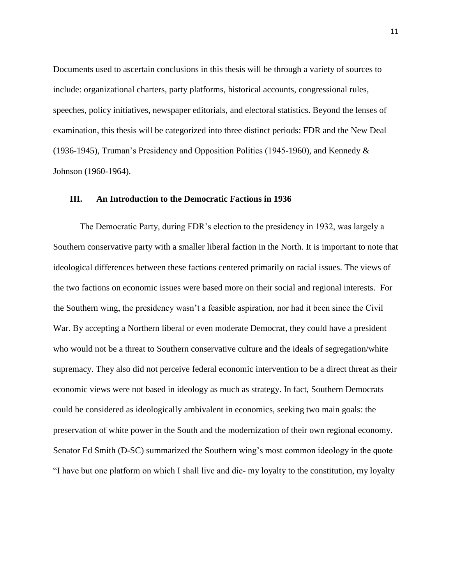Documents used to ascertain conclusions in this thesis will be through a variety of sources to include: organizational charters, party platforms, historical accounts, congressional rules, speeches, policy initiatives, newspaper editorials, and electoral statistics. Beyond the lenses of examination, this thesis will be categorized into three distinct periods: FDR and the New Deal (1936-1945), Truman's Presidency and Opposition Politics (1945-1960), and Kennedy & Johnson (1960-1964).

#### **III. An Introduction to the Democratic Factions in 1936**

The Democratic Party, during FDR's election to the presidency in 1932, was largely a Southern conservative party with a smaller liberal faction in the North. It is important to note that ideological differences between these factions centered primarily on racial issues. The views of the two factions on economic issues were based more on their social and regional interests. For the Southern wing, the presidency wasn't a feasible aspiration, nor had it been since the Civil War. By accepting a Northern liberal or even moderate Democrat, they could have a president who would not be a threat to Southern conservative culture and the ideals of segregation/white supremacy. They also did not perceive federal economic intervention to be a direct threat as their economic views were not based in ideology as much as strategy. In fact, Southern Democrats could be considered as ideologically ambivalent in economics, seeking two main goals: the preservation of white power in the South and the modernization of their own regional economy. Senator Ed Smith (D-SC) summarized the Southern wing's most common ideology in the quote "I have but one platform on which I shall live and die- my loyalty to the constitution, my loyalty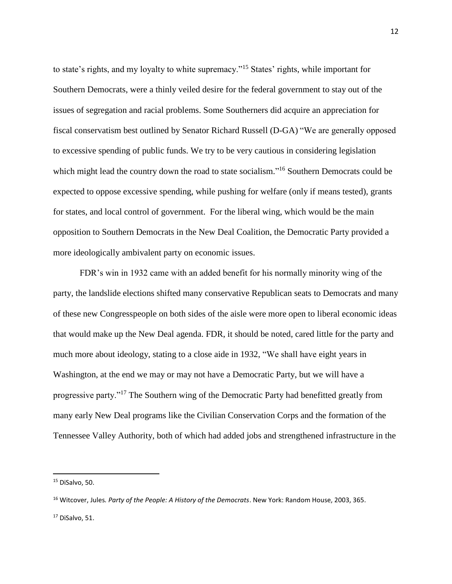to state's rights, and my loyalty to white supremacy."<sup>15</sup> States' rights, while important for Southern Democrats, were a thinly veiled desire for the federal government to stay out of the issues of segregation and racial problems. Some Southerners did acquire an appreciation for fiscal conservatism best outlined by Senator Richard Russell (D-GA) "We are generally opposed to excessive spending of public funds. We try to be very cautious in considering legislation which might lead the country down the road to state socialism."<sup>16</sup> Southern Democrats could be expected to oppose excessive spending, while pushing for welfare (only if means tested), grants for states, and local control of government. For the liberal wing, which would be the main opposition to Southern Democrats in the New Deal Coalition, the Democratic Party provided a more ideologically ambivalent party on economic issues.

FDR's win in 1932 came with an added benefit for his normally minority wing of the party, the landslide elections shifted many conservative Republican seats to Democrats and many of these new Congresspeople on both sides of the aisle were more open to liberal economic ideas that would make up the New Deal agenda. FDR, it should be noted, cared little for the party and much more about ideology, stating to a close aide in 1932, "We shall have eight years in Washington, at the end we may or may not have a Democratic Party, but we will have a progressive party."<sup>17</sup> The Southern wing of the Democratic Party had benefitted greatly from many early New Deal programs like the Civilian Conservation Corps and the formation of the Tennessee Valley Authority, both of which had added jobs and strengthened infrastructure in the

<sup>&</sup>lt;sup>15</sup> DiSalvo, 50.

<sup>16</sup> Witcover, Jules*. Party of the People: A History of the Democrats*. New York: Random House, 2003, 365. <sup>17</sup> DiSalvo, 51.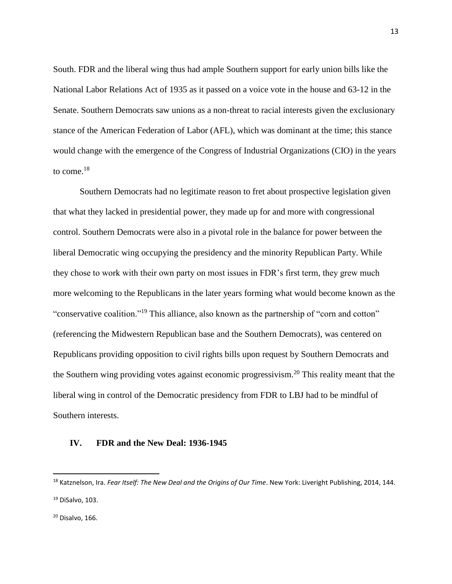South. FDR and the liberal wing thus had ample Southern support for early union bills like the National Labor Relations Act of 1935 as it passed on a voice vote in the house and 63-12 in the Senate. Southern Democrats saw unions as a non-threat to racial interests given the exclusionary stance of the American Federation of Labor (AFL), which was dominant at the time; this stance would change with the emergence of the Congress of Industrial Organizations (CIO) in the years to come.<sup>18</sup>

Southern Democrats had no legitimate reason to fret about prospective legislation given that what they lacked in presidential power, they made up for and more with congressional control. Southern Democrats were also in a pivotal role in the balance for power between the liberal Democratic wing occupying the presidency and the minority Republican Party. While they chose to work with their own party on most issues in FDR's first term, they grew much more welcoming to the Republicans in the later years forming what would become known as the "conservative coalition."<sup>19</sup> This alliance, also known as the partnership of "corn and cotton" (referencing the Midwestern Republican base and the Southern Democrats), was centered on Republicans providing opposition to civil rights bills upon request by Southern Democrats and the Southern wing providing votes against economic progressivism.<sup>20</sup> This reality meant that the liberal wing in control of the Democratic presidency from FDR to LBJ had to be mindful of Southern interests.

## **IV. FDR and the New Deal: 1936-1945**

<sup>18</sup> Katznelson, Ira. *Fear Itself: The New Deal and the Origins of Our Time*. New York: Liveright Publishing, 2014, 144. <sup>19</sup> DiSalvo, 103.

 $20$  Disalvo, 166.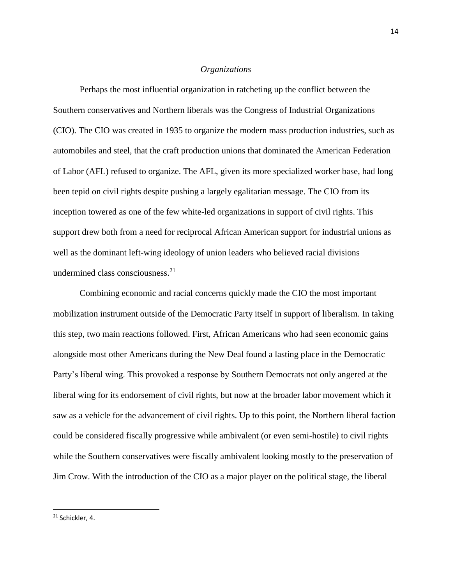### *Organizations*

Perhaps the most influential organization in ratcheting up the conflict between the Southern conservatives and Northern liberals was the Congress of Industrial Organizations (CIO). The CIO was created in 1935 to organize the modern mass production industries, such as automobiles and steel, that the craft production unions that dominated the American Federation of Labor (AFL) refused to organize. The AFL, given its more specialized worker base, had long been tepid on civil rights despite pushing a largely egalitarian message. The CIO from its inception towered as one of the few white-led organizations in support of civil rights. This support drew both from a need for reciprocal African American support for industrial unions as well as the dominant left-wing ideology of union leaders who believed racial divisions undermined class consciousness. $^{21}$ 

Combining economic and racial concerns quickly made the CIO the most important mobilization instrument outside of the Democratic Party itself in support of liberalism. In taking this step, two main reactions followed. First, African Americans who had seen economic gains alongside most other Americans during the New Deal found a lasting place in the Democratic Party's liberal wing. This provoked a response by Southern Democrats not only angered at the liberal wing for its endorsement of civil rights, but now at the broader labor movement which it saw as a vehicle for the advancement of civil rights. Up to this point, the Northern liberal faction could be considered fiscally progressive while ambivalent (or even semi-hostile) to civil rights while the Southern conservatives were fiscally ambivalent looking mostly to the preservation of Jim Crow. With the introduction of the CIO as a major player on the political stage, the liberal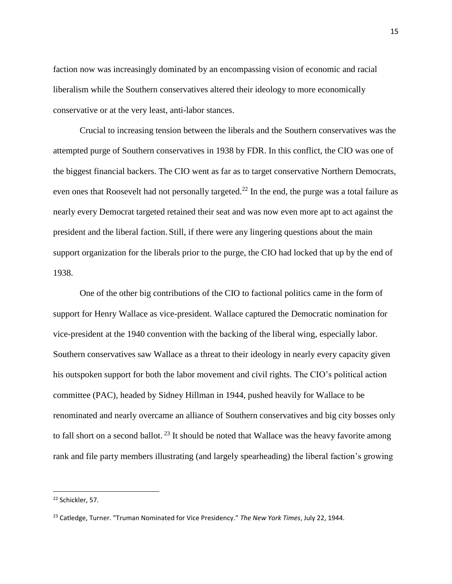faction now was increasingly dominated by an encompassing vision of economic and racial liberalism while the Southern conservatives altered their ideology to more economically conservative or at the very least, anti-labor stances.

Crucial to increasing tension between the liberals and the Southern conservatives was the attempted purge of Southern conservatives in 1938 by FDR. In this conflict, the CIO was one of the biggest financial backers. The CIO went as far as to target conservative Northern Democrats, even ones that Roosevelt had not personally targeted.<sup>22</sup> In the end, the purge was a total failure as nearly every Democrat targeted retained their seat and was now even more apt to act against the president and the liberal faction. Still, if there were any lingering questions about the main support organization for the liberals prior to the purge, the CIO had locked that up by the end of 1938.

One of the other big contributions of the CIO to factional politics came in the form of support for Henry Wallace as vice-president. Wallace captured the Democratic nomination for vice-president at the 1940 convention with the backing of the liberal wing, especially labor. Southern conservatives saw Wallace as a threat to their ideology in nearly every capacity given his outspoken support for both the labor movement and civil rights. The CIO's political action committee (PAC), headed by Sidney Hillman in 1944, pushed heavily for Wallace to be renominated and nearly overcame an alliance of Southern conservatives and big city bosses only to fall short on a second ballot.<sup>23</sup> It should be noted that Wallace was the heavy favorite among rank and file party members illustrating (and largely spearheading) the liberal faction's growing

<sup>22</sup> Schickler, 57.

<sup>23</sup> Catledge, Turner. "Truman Nominated for Vice Presidency." *The New York Times*, July 22, 1944.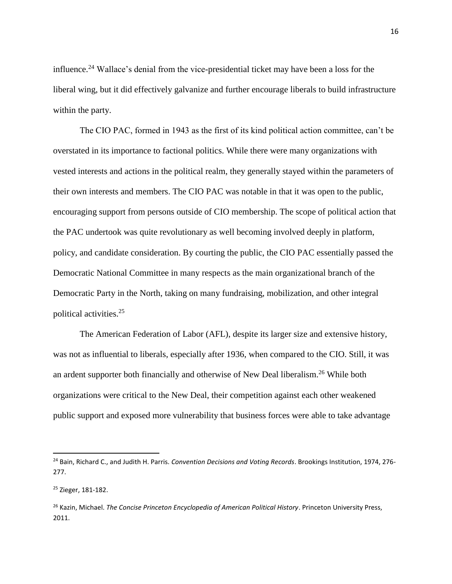influence.<sup>24</sup> Wallace's denial from the vice-presidential ticket may have been a loss for the liberal wing, but it did effectively galvanize and further encourage liberals to build infrastructure within the party.

The CIO PAC, formed in 1943 as the first of its kind political action committee, can't be overstated in its importance to factional politics. While there were many organizations with vested interests and actions in the political realm, they generally stayed within the parameters of their own interests and members. The CIO PAC was notable in that it was open to the public, encouraging support from persons outside of CIO membership. The scope of political action that the PAC undertook was quite revolutionary as well becoming involved deeply in platform, policy, and candidate consideration. By courting the public, the CIO PAC essentially passed the Democratic National Committee in many respects as the main organizational branch of the Democratic Party in the North, taking on many fundraising, mobilization, and other integral political activities.<sup>25</sup>

The American Federation of Labor (AFL), despite its larger size and extensive history, was not as influential to liberals, especially after 1936, when compared to the CIO. Still, it was an ardent supporter both financially and otherwise of New Deal liberalism.<sup>26</sup> While both organizations were critical to the New Deal, their competition against each other weakened public support and exposed more vulnerability that business forces were able to take advantage

<sup>24</sup> Bain, Richard C., and Judith H. Parris. *Convention Decisions and Voting Records*. Brookings Institution, 1974, 276- 277.

<sup>25</sup> Zieger, 181-182.

<sup>26</sup> Kazin, Michael. *The Concise Princeton Encyclopedia of American Political History*. Princeton University Press, 2011.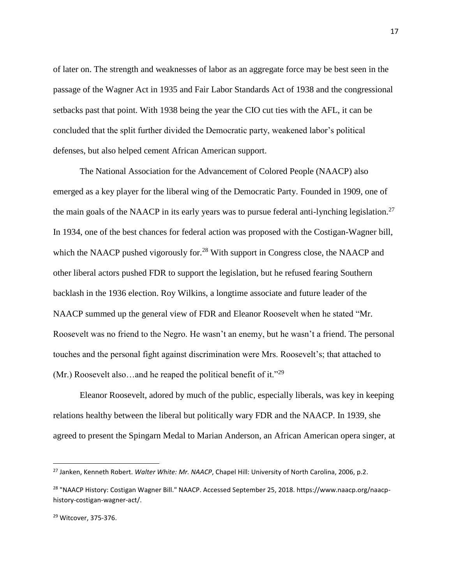of later on. The strength and weaknesses of labor as an aggregate force may be best seen in the passage of the Wagner Act in 1935 and Fair Labor Standards Act of 1938 and the congressional setbacks past that point. With 1938 being the year the CIO cut ties with the AFL, it can be concluded that the split further divided the Democratic party, weakened labor's political defenses, but also helped cement African American support.

The National Association for the Advancement of Colored People (NAACP) also emerged as a key player for the liberal wing of the Democratic Party. Founded in 1909, one of the main goals of the NAACP in its early years was to pursue federal anti-lynching legislation.<sup>27</sup> In 1934, one of the best chances for federal action was proposed with the Costigan-Wagner bill, which the NAACP pushed vigorously for.<sup>28</sup> With support in Congress close, the NAACP and other liberal actors pushed FDR to support the legislation, but he refused fearing Southern backlash in the 1936 election. Roy Wilkins, a longtime associate and future leader of the NAACP summed up the general view of FDR and Eleanor Roosevelt when he stated "Mr. Roosevelt was no friend to the Negro. He wasn't an enemy, but he wasn't a friend. The personal touches and the personal fight against discrimination were Mrs. Roosevelt's; that attached to (Mr.) Roosevelt also...and he reaped the political benefit of it."<sup>29</sup>

Eleanor Roosevelt, adored by much of the public, especially liberals, was key in keeping relations healthy between the liberal but politically wary FDR and the NAACP. In 1939, she agreed to present the Spingarn Medal to Marian Anderson, an African American opera singer, at

<sup>27</sup> Janken, Kenneth Robert. *Walter White: Mr. NAACP*, Chapel Hill: University of North Carolina, 2006, p.2.

<sup>28</sup> "NAACP History: Costigan Wagner Bill." NAACP. Accessed September 25, 2018. https://www.naacp.org/naacphistory-costigan-wagner-act/.

<sup>29</sup> Witcover, 375-376.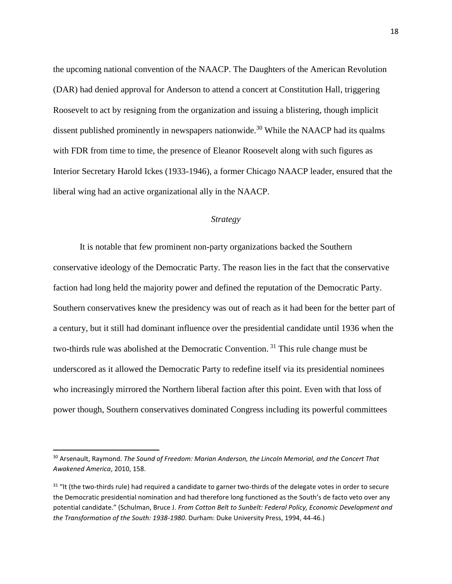the upcoming national convention of the NAACP. The Daughters of the American Revolution (DAR) had denied approval for Anderson to attend a concert at Constitution Hall, triggering Roosevelt to act by resigning from the organization and issuing a blistering, though implicit dissent published prominently in newspapers nationwide.<sup>30</sup> While the NAACP had its qualms with FDR from time to time, the presence of Eleanor Roosevelt along with such figures as Interior Secretary Harold Ickes (1933-1946), a former Chicago NAACP leader, ensured that the liberal wing had an active organizational ally in the NAACP.

#### *Strategy*

It is notable that few prominent non-party organizations backed the Southern conservative ideology of the Democratic Party. The reason lies in the fact that the conservative faction had long held the majority power and defined the reputation of the Democratic Party. Southern conservatives knew the presidency was out of reach as it had been for the better part of a century, but it still had dominant influence over the presidential candidate until 1936 when the two-thirds rule was abolished at the Democratic Convention.<sup>31</sup> This rule change must be underscored as it allowed the Democratic Party to redefine itself via its presidential nominees who increasingly mirrored the Northern liberal faction after this point. Even with that loss of power though, Southern conservatives dominated Congress including its powerful committees

<sup>30</sup> Arsenault, Raymond. *The Sound of Freedom: Marian Anderson, the Lincoln Memorial, and the Concert That Awakened America*, 2010, 158.

<sup>&</sup>lt;sup>31</sup> "It (the two-thirds rule) had required a candidate to garner two-thirds of the delegate votes in order to secure the Democratic presidential nomination and had therefore long functioned as the South's de facto veto over any potential candidate." (Schulman, Bruce J. *From Cotton Belt to Sunbelt: Federal Policy, Economic Development and the Transformation of the South: 1938-1980*. Durham: Duke University Press, 1994, 44-46.)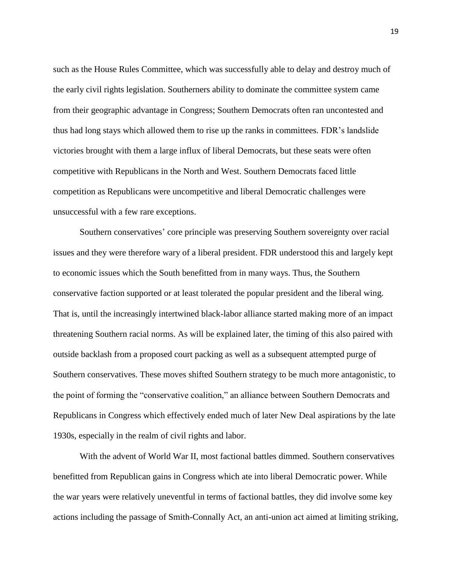such as the House Rules Committee, which was successfully able to delay and destroy much of the early civil rights legislation. Southerners ability to dominate the committee system came from their geographic advantage in Congress; Southern Democrats often ran uncontested and thus had long stays which allowed them to rise up the ranks in committees. FDR's landslide victories brought with them a large influx of liberal Democrats, but these seats were often competitive with Republicans in the North and West. Southern Democrats faced little competition as Republicans were uncompetitive and liberal Democratic challenges were unsuccessful with a few rare exceptions.

Southern conservatives' core principle was preserving Southern sovereignty over racial issues and they were therefore wary of a liberal president. FDR understood this and largely kept to economic issues which the South benefitted from in many ways. Thus, the Southern conservative faction supported or at least tolerated the popular president and the liberal wing. That is, until the increasingly intertwined black-labor alliance started making more of an impact threatening Southern racial norms. As will be explained later, the timing of this also paired with outside backlash from a proposed court packing as well as a subsequent attempted purge of Southern conservatives. These moves shifted Southern strategy to be much more antagonistic, to the point of forming the "conservative coalition," an alliance between Southern Democrats and Republicans in Congress which effectively ended much of later New Deal aspirations by the late 1930s, especially in the realm of civil rights and labor.

With the advent of World War II, most factional battles dimmed. Southern conservatives benefitted from Republican gains in Congress which ate into liberal Democratic power. While the war years were relatively uneventful in terms of factional battles, they did involve some key actions including the passage of Smith-Connally Act, an anti-union act aimed at limiting striking,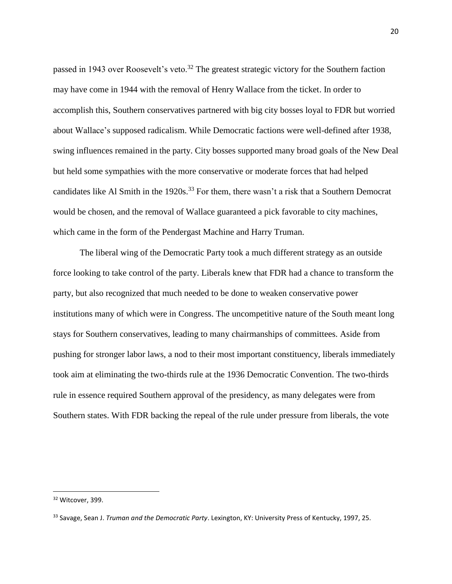passed in 1943 over Roosevelt's veto.<sup>32</sup> The greatest strategic victory for the Southern faction may have come in 1944 with the removal of Henry Wallace from the ticket. In order to accomplish this, Southern conservatives partnered with big city bosses loyal to FDR but worried about Wallace's supposed radicalism. While Democratic factions were well-defined after 1938, swing influences remained in the party. City bosses supported many broad goals of the New Deal but held some sympathies with the more conservative or moderate forces that had helped candidates like Al Smith in the 1920s.<sup>33</sup> For them, there wasn't a risk that a Southern Democrat would be chosen, and the removal of Wallace guaranteed a pick favorable to city machines, which came in the form of the Pendergast Machine and Harry Truman.

The liberal wing of the Democratic Party took a much different strategy as an outside force looking to take control of the party. Liberals knew that FDR had a chance to transform the party, but also recognized that much needed to be done to weaken conservative power institutions many of which were in Congress. The uncompetitive nature of the South meant long stays for Southern conservatives, leading to many chairmanships of committees. Aside from pushing for stronger labor laws, a nod to their most important constituency, liberals immediately took aim at eliminating the two-thirds rule at the 1936 Democratic Convention. The two-thirds rule in essence required Southern approval of the presidency, as many delegates were from Southern states. With FDR backing the repeal of the rule under pressure from liberals, the vote

<sup>32</sup> Witcover, 399.

<sup>33</sup> Savage, Sean J. *Truman and the Democratic Party*. Lexington, KY: University Press of Kentucky, 1997, 25.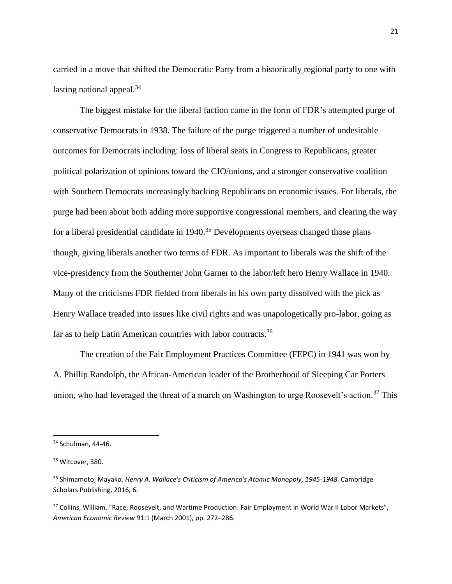carried in a move that shifted the Democratic Party from a historically regional party to one with lasting national appeal. $34$ 

The biggest mistake for the liberal faction came in the form of FDR's attempted purge of conservative Democrats in 1938. The failure of the purge triggered a number of undesirable outcomes for Democrats including: loss of liberal seats in Congress to Republicans, greater political polarization of opinions toward the CIO/unions, and a stronger conservative coalition with Southern Democrats increasingly backing Republicans on economic issues. For liberals, the purge had been about both adding more supportive congressional members, and clearing the way for a liberal presidential candidate in  $1940$ .<sup>35</sup> Developments overseas changed those plans though, giving liberals another two terms of FDR. As important to liberals was the shift of the vice-presidency from the Southerner John Garner to the labor/left hero Henry Wallace in 1940. Many of the criticisms FDR fielded from liberals in his own party dissolved with the pick as Henry Wallace treaded into issues like civil rights and was unapologetically pro-labor, going as far as to help Latin American countries with labor contracts.<sup>36</sup>

The creation of the Fair Employment Practices Committee (FEPC) in 1941 was won by A. Phillip Randolph, the African-American leader of the Brotherhood of Sleeping Car Porters union, who had leveraged the threat of a march on Washington to urge Roosevelt's action.<sup>37</sup> This

<sup>34</sup> Schulman, 44-46.

<sup>&</sup>lt;sup>35</sup> Witcover, 380.

<sup>36</sup> Shimamoto, Mayako. *Henry A. Wallace's Criticism of America's Atomic Monopoly, 1945-1948.* Cambridge Scholars Publishing, 2016, 6.

<sup>&</sup>lt;sup>37</sup> Collins, William. "Race, Roosevelt, and Wartime Production: Fair Employment in World War II Labor Markets", *American Economic Review* 91:1 (March 2001), pp. 272–286.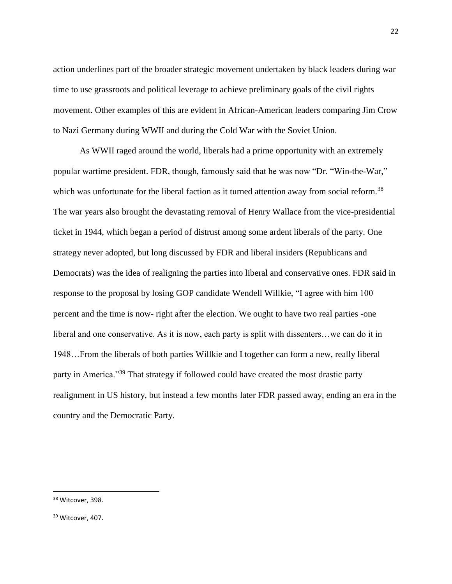action underlines part of the broader strategic movement undertaken by black leaders during war time to use grassroots and political leverage to achieve preliminary goals of the civil rights movement. Other examples of this are evident in African-American leaders comparing Jim Crow to Nazi Germany during WWII and during the Cold War with the Soviet Union.

As WWII raged around the world, liberals had a prime opportunity with an extremely popular wartime president. FDR, though, famously said that he was now "Dr. "Win-the-War," which was unfortunate for the liberal faction as it turned attention away from social reform.<sup>38</sup> The war years also brought the devastating removal of Henry Wallace from the vice-presidential ticket in 1944, which began a period of distrust among some ardent liberals of the party. One strategy never adopted, but long discussed by FDR and liberal insiders (Republicans and Democrats) was the idea of realigning the parties into liberal and conservative ones. FDR said in response to the proposal by losing GOP candidate Wendell Willkie, "I agree with him 100 percent and the time is now- right after the election. We ought to have two real parties -one liberal and one conservative. As it is now, each party is split with dissenters…we can do it in 1948…From the liberals of both parties Willkie and I together can form a new, really liberal party in America."<sup>39</sup> That strategy if followed could have created the most drastic party realignment in US history, but instead a few months later FDR passed away, ending an era in the country and the Democratic Party.

<sup>&</sup>lt;sup>38</sup> Witcover, 398.

<sup>&</sup>lt;sup>39</sup> Witcover, 407.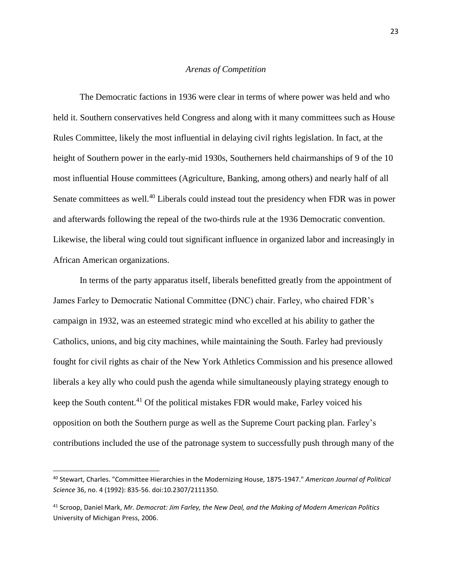#### *Arenas of Competition*

The Democratic factions in 1936 were clear in terms of where power was held and who held it. Southern conservatives held Congress and along with it many committees such as House Rules Committee, likely the most influential in delaying civil rights legislation. In fact, at the height of Southern power in the early-mid 1930s, Southerners held chairmanships of 9 of the 10 most influential House committees (Agriculture, Banking, among others) and nearly half of all Senate committees as well.<sup>40</sup> Liberals could instead tout the presidency when FDR was in power and afterwards following the repeal of the two-thirds rule at the 1936 Democratic convention. Likewise, the liberal wing could tout significant influence in organized labor and increasingly in African American organizations.

In terms of the party apparatus itself, liberals benefitted greatly from the appointment of James Farley to Democratic National Committee (DNC) chair. Farley, who chaired FDR's campaign in 1932, was an esteemed strategic mind who excelled at his ability to gather the Catholics, unions, and big city machines, while maintaining the South. Farley had previously fought for civil rights as chair of the New York Athletics Commission and his presence allowed liberals a key ally who could push the agenda while simultaneously playing strategy enough to keep the South content.<sup>41</sup> Of the political mistakes FDR would make, Farley voiced his opposition on both the Southern purge as well as the Supreme Court packing plan. Farley's contributions included the use of the patronage system to successfully push through many of the

<sup>40</sup> Stewart, Charles. "Committee Hierarchies in the Modernizing House, 1875-1947." *American Journal of Political Science* 36, no. 4 (1992): 835-56. doi:10.2307/2111350.

<sup>41</sup> Scroop, Daniel Mark, *Mr. Democrat: Jim Farley, the New Deal, and the Making of Modern American Politics* University of Michigan Press, 2006.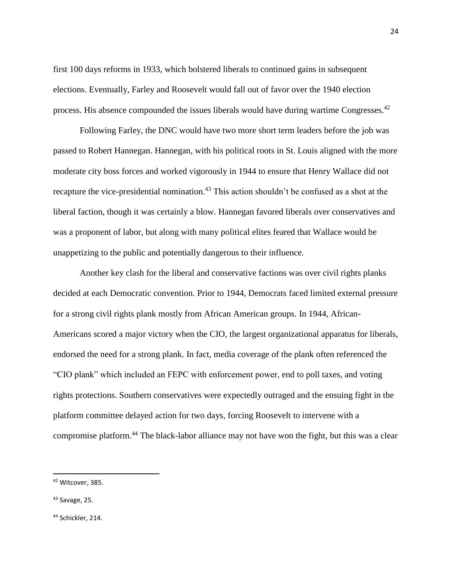first 100 days reforms in 1933, which bolstered liberals to continued gains in subsequent elections. Eventually, Farley and Roosevelt would fall out of favor over the 1940 election process. His absence compounded the issues liberals would have during wartime Congresses.<sup>42</sup>

Following Farley, the DNC would have two more short term leaders before the job was passed to Robert Hannegan. Hannegan, with his political roots in St. Louis aligned with the more moderate city boss forces and worked vigorously in 1944 to ensure that Henry Wallace did not recapture the vice-presidential nomination.<sup>43</sup> This action shouldn't be confused as a shot at the liberal faction, though it was certainly a blow. Hannegan favored liberals over conservatives and was a proponent of labor, but along with many political elites feared that Wallace would be unappetizing to the public and potentially dangerous to their influence.

Another key clash for the liberal and conservative factions was over civil rights planks decided at each Democratic convention. Prior to 1944, Democrats faced limited external pressure for a strong civil rights plank mostly from African American groups. In 1944, African-Americans scored a major victory when the CIO, the largest organizational apparatus for liberals, endorsed the need for a strong plank. In fact, media coverage of the plank often referenced the "CIO plank" which included an FEPC with enforcement power, end to poll taxes, and voting rights protections. Southern conservatives were expectedly outraged and the ensuing fight in the platform committee delayed action for two days, forcing Roosevelt to intervene with a compromise platform.<sup>44</sup> The black-labor alliance may not have won the fight, but this was a clear

<sup>42</sup> Witcover, 385.

<sup>43</sup> Savage, 25.

<sup>44</sup> Schickler, 214.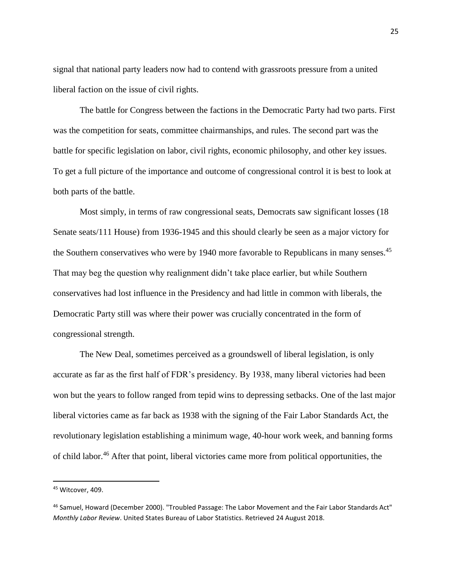signal that national party leaders now had to contend with grassroots pressure from a united liberal faction on the issue of civil rights.

The battle for Congress between the factions in the Democratic Party had two parts. First was the competition for seats, committee chairmanships, and rules. The second part was the battle for specific legislation on labor, civil rights, economic philosophy, and other key issues. To get a full picture of the importance and outcome of congressional control it is best to look at both parts of the battle.

Most simply, in terms of raw congressional seats, Democrats saw significant losses (18 Senate seats/111 House) from 1936-1945 and this should clearly be seen as a major victory for the Southern conservatives who were by 1940 more favorable to Republicans in many senses.<sup>45</sup> That may beg the question why realignment didn't take place earlier, but while Southern conservatives had lost influence in the Presidency and had little in common with liberals, the Democratic Party still was where their power was crucially concentrated in the form of congressional strength.

The New Deal, sometimes perceived as a groundswell of liberal legislation, is only accurate as far as the first half of FDR's presidency. By 1938, many liberal victories had been won but the years to follow ranged from tepid wins to depressing setbacks. One of the last major liberal victories came as far back as 1938 with the signing of the Fair Labor Standards Act, the revolutionary legislation establishing a minimum wage, 40-hour work week, and banning forms of child labor.<sup>46</sup> After that point, liberal victories came more from political opportunities, the

<sup>45</sup> Witcover, 409.

<sup>46</sup> Samuel, Howard (December 2000). "Troubled Passage: The Labor Movement and the Fair Labor Standards Act" *Monthly Labor Review*. United States Bureau of Labor Statistics. Retrieved 24 August 2018.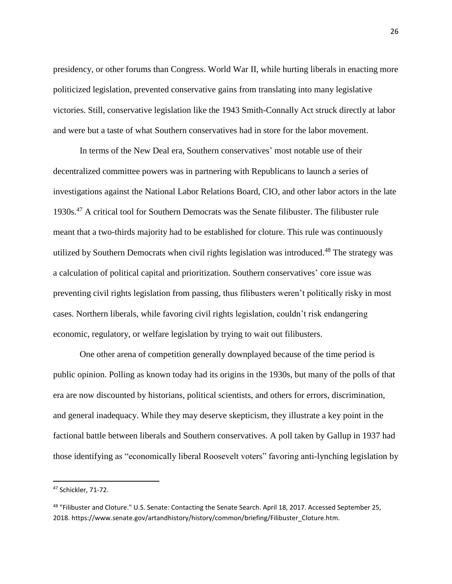presidency, or other forums than Congress. World War II, while hurting liberals in enacting more politicized legislation, prevented conservative gains from translating into many legislative victories. Still, conservative legislation like the 1943 Smith-Connally Act struck directly at labor and were but a taste of what Southern conservatives had in store for the labor movement.

In terms of the New Deal era, Southern conservatives' most notable use of their decentralized committee powers was in partnering with Republicans to launch a series of investigations against the National Labor Relations Board, CIO, and other labor actors in the late 1930s.<sup>47</sup> A critical tool for Southern Democrats was the Senate filibuster. The filibuster rule meant that a two-thirds majority had to be established for cloture. This rule was continuously utilized by Southern Democrats when civil rights legislation was introduced.<sup>48</sup> The strategy was a calculation of political capital and prioritization. Southern conservatives' core issue was preventing civil rights legislation from passing, thus filibusters weren't politically risky in most cases. Northern liberals, while favoring civil rights legislation, couldn't risk endangering economic, regulatory, or welfare legislation by trying to wait out filibusters.

One other arena of competition generally downplayed because of the time period is public opinion. Polling as known today had its origins in the 1930s, but many of the polls of that era are now discounted by historians, political scientists, and others for errors, discrimination, and general inadequacy. While they may deserve skepticism, they illustrate a key point in the factional battle between liberals and Southern conservatives. A poll taken by Gallup in 1937 had those identifying as "economically liberal Roosevelt voters" favoring anti-lynching legislation by

<sup>47</sup> Schickler, 71-72.

<sup>48 &</sup>quot;Filibuster and Cloture." U.S. Senate: Contacting the Senate Search. April 18, 2017. Accessed September 25, 2018. https://www.senate.gov/artandhistory/history/common/briefing/Filibuster\_Cloture.htm.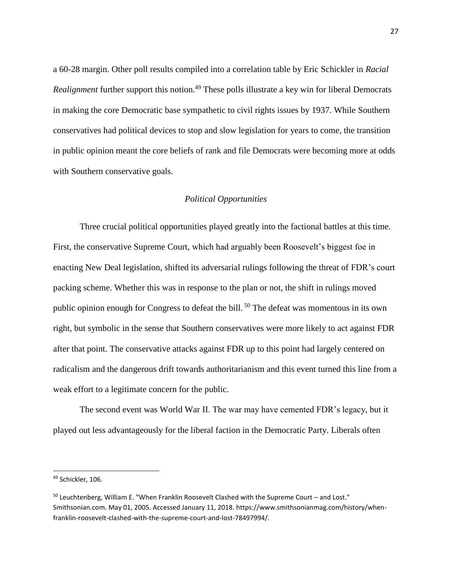a 60-28 margin. Other poll results compiled into a correlation table by Eric Schickler in *Racial Realignment* further support this notion.<sup>49</sup> These polls illustrate a key win for liberal Democrats in making the core Democratic base sympathetic to civil rights issues by 1937. While Southern conservatives had political devices to stop and slow legislation for years to come, the transition in public opinion meant the core beliefs of rank and file Democrats were becoming more at odds with Southern conservative goals.

## *Political Opportunities*

Three crucial political opportunities played greatly into the factional battles at this time. First, the conservative Supreme Court, which had arguably been Roosevelt's biggest foe in enacting New Deal legislation, shifted its adversarial rulings following the threat of FDR's court packing scheme. Whether this was in response to the plan or not, the shift in rulings moved public opinion enough for Congress to defeat the bill.<sup>50</sup> The defeat was momentous in its own right, but symbolic in the sense that Southern conservatives were more likely to act against FDR after that point. The conservative attacks against FDR up to this point had largely centered on radicalism and the dangerous drift towards authoritarianism and this event turned this line from a weak effort to a legitimate concern for the public.

The second event was World War II. The war may have cemented FDR's legacy, but it played out less advantageously for the liberal faction in the Democratic Party. Liberals often

<sup>49</sup> Schickler, 106.

<sup>50</sup> Leuchtenberg, William E. "When Franklin Roosevelt Clashed with the Supreme Court – and Lost." Smithsonian.com. May 01, 2005. Accessed January 11, 2018. https://www.smithsonianmag.com/history/whenfranklin-roosevelt-clashed-with-the-supreme-court-and-lost-78497994/.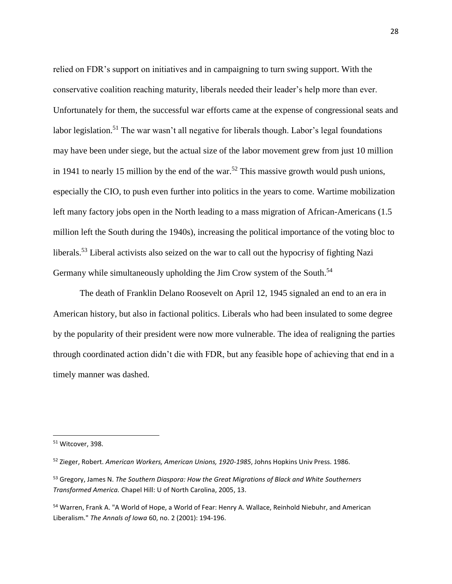relied on FDR's support on initiatives and in campaigning to turn swing support. With the conservative coalition reaching maturity, liberals needed their leader's help more than ever. Unfortunately for them, the successful war efforts came at the expense of congressional seats and labor legislation.<sup>51</sup> The war wasn't all negative for liberals though. Labor's legal foundations may have been under siege, but the actual size of the labor movement grew from just 10 million in 1941 to nearly 15 million by the end of the war.<sup>52</sup> This massive growth would push unions, especially the CIO, to push even further into politics in the years to come. Wartime mobilization left many factory jobs open in the North leading to a mass migration of African-Americans (1.5 million left the South during the 1940s), increasing the political importance of the voting bloc to liberals.<sup>53</sup> Liberal activists also seized on the war to call out the hypocrisy of fighting Nazi Germany while simultaneously upholding the Jim Crow system of the South.<sup>54</sup>

The death of Franklin Delano Roosevelt on April 12, 1945 signaled an end to an era in American history, but also in factional politics. Liberals who had been insulated to some degree by the popularity of their president were now more vulnerable. The idea of realigning the parties through coordinated action didn't die with FDR, but any feasible hope of achieving that end in a timely manner was dashed.

<sup>51</sup> Witcover, 398.

<sup>52</sup> Zieger, Robert. *American Workers, American Unions, 1920-1985*, Johns Hopkins Univ Press. 1986.

<sup>53</sup> Gregory, James N. *The Southern Diaspora: How the Great Migrations of Black and White Southerners Transformed America.* Chapel Hill: U of North Carolina, 2005, 13.

<sup>54</sup> Warren, Frank A. "A World of Hope, a World of Fear: Henry A. Wallace, Reinhold Niebuhr, and American Liberalism." *The Annals of Iowa* 60, no. 2 (2001): 194-196.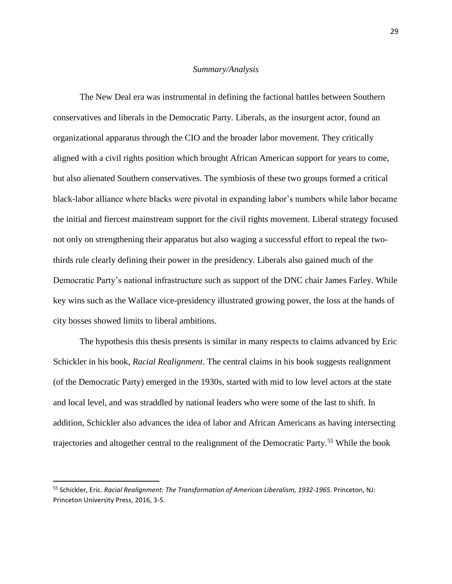#### *Summary/Analysis*

The New Deal era was instrumental in defining the factional battles between Southern conservatives and liberals in the Democratic Party. Liberals, as the insurgent actor, found an organizational apparatus through the CIO and the broader labor movement. They critically aligned with a civil rights position which brought African American support for years to come, but also alienated Southern conservatives. The symbiosis of these two groups formed a critical black-labor alliance where blacks were pivotal in expanding labor's numbers while labor became the initial and fiercest mainstream support for the civil rights movement. Liberal strategy focused not only on strengthening their apparatus but also waging a successful effort to repeal the twothirds rule clearly defining their power in the presidency. Liberals also gained much of the Democratic Party's national infrastructure such as support of the DNC chair James Farley. While key wins such as the Wallace vice-presidency illustrated growing power, the loss at the hands of city bosses showed limits to liberal ambitions.

The hypothesis this thesis presents is similar in many respects to claims advanced by Eric Schickler in his book, *Racial Realignment*. The central claims in his book suggests realignment (of the Democratic Party) emerged in the 1930s, started with mid to low level actors at the state and local level, and was straddled by national leaders who were some of the last to shift. In addition, Schickler also advances the idea of labor and African Americans as having intersecting trajectories and altogether central to the realignment of the Democratic Party.<sup>55</sup> While the book

<sup>55</sup> Schickler, Eric. *Racial Realignment: The Transformation of American Liberalism, 1932-1965*. Princeton, NJ: Princeton University Press, 2016, 3-5.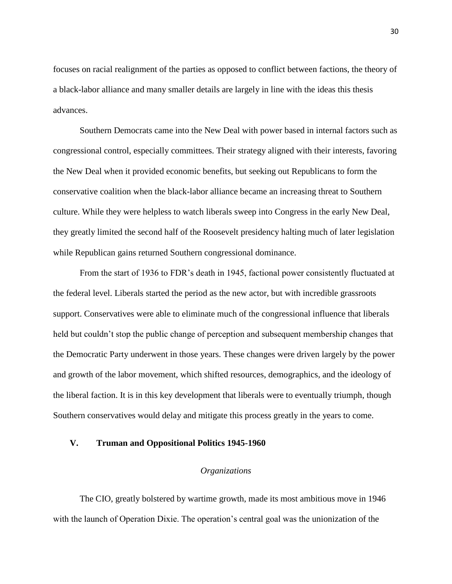focuses on racial realignment of the parties as opposed to conflict between factions, the theory of a black-labor alliance and many smaller details are largely in line with the ideas this thesis advances.

Southern Democrats came into the New Deal with power based in internal factors such as congressional control, especially committees. Their strategy aligned with their interests, favoring the New Deal when it provided economic benefits, but seeking out Republicans to form the conservative coalition when the black-labor alliance became an increasing threat to Southern culture. While they were helpless to watch liberals sweep into Congress in the early New Deal, they greatly limited the second half of the Roosevelt presidency halting much of later legislation while Republican gains returned Southern congressional dominance.

From the start of 1936 to FDR's death in 1945, factional power consistently fluctuated at the federal level. Liberals started the period as the new actor, but with incredible grassroots support. Conservatives were able to eliminate much of the congressional influence that liberals held but couldn't stop the public change of perception and subsequent membership changes that the Democratic Party underwent in those years. These changes were driven largely by the power and growth of the labor movement, which shifted resources, demographics, and the ideology of the liberal faction. It is in this key development that liberals were to eventually triumph, though Southern conservatives would delay and mitigate this process greatly in the years to come.

## **V. Truman and Oppositional Politics 1945-1960**

#### *Organizations*

The CIO, greatly bolstered by wartime growth, made its most ambitious move in 1946 with the launch of Operation Dixie. The operation's central goal was the unionization of the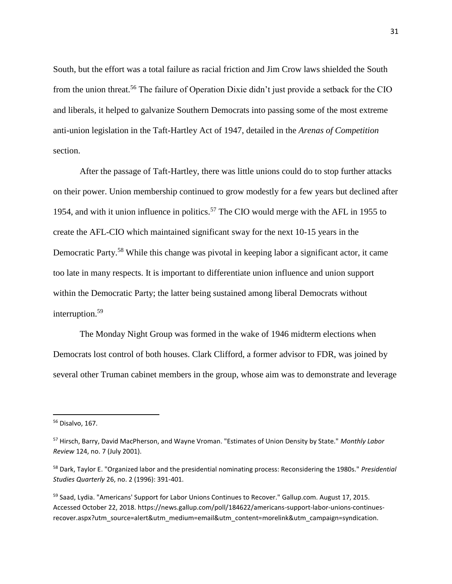South, but the effort was a total failure as racial friction and Jim Crow laws shielded the South from the union threat.<sup>56</sup> The failure of Operation Dixie didn't just provide a setback for the CIO and liberals, it helped to galvanize Southern Democrats into passing some of the most extreme anti-union legislation in the Taft-Hartley Act of 1947, detailed in the *Arenas of Competition* section.

After the passage of Taft-Hartley, there was little unions could do to stop further attacks on their power. Union membership continued to grow modestly for a few years but declined after 1954, and with it union influence in politics.<sup>57</sup> The CIO would merge with the AFL in 1955 to create the AFL-CIO which maintained significant sway for the next 10-15 years in the Democratic Party.<sup>58</sup> While this change was pivotal in keeping labor a significant actor, it came too late in many respects. It is important to differentiate union influence and union support within the Democratic Party; the latter being sustained among liberal Democrats without interruption.<sup>59</sup>

The Monday Night Group was formed in the wake of 1946 midterm elections when Democrats lost control of both houses. Clark Clifford, a former advisor to FDR, was joined by several other Truman cabinet members in the group, whose aim was to demonstrate and leverage

<sup>56</sup> Disalvo, 167.

<sup>57</sup> Hirsch, Barry, David MacPherson, and Wayne Vroman. "Estimates of Union Density by State." *Monthly Labor Review* 124, no. 7 (July 2001).

<sup>58</sup> Dark, Taylor E. "Organized labor and the presidential nominating process: Reconsidering the 1980s." *Presidential Studies Quarterly* 26, no. 2 (1996): 391-401.

<sup>&</sup>lt;sup>59</sup> Saad, Lydia. "Americans' Support for Labor Unions Continues to Recover." Gallup.com. August 17, 2015. Accessed October 22, 2018. https://news.gallup.com/poll/184622/americans-support-labor-unions-continuesrecover.aspx?utm\_source=alert&utm\_medium=email&utm\_content=morelink&utm\_campaign=syndication.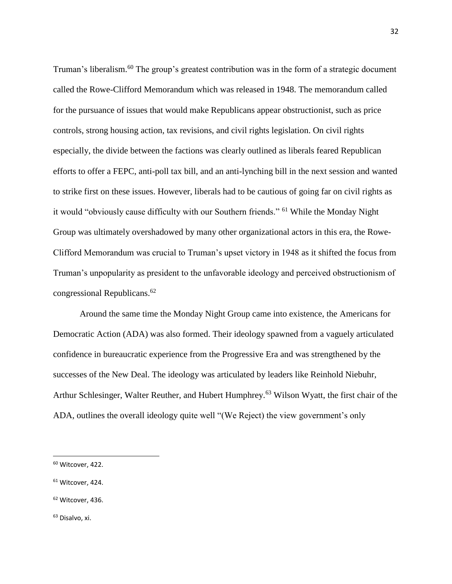Truman's liberalism.<sup>60</sup> The group's greatest contribution was in the form of a strategic document called the Rowe-Clifford Memorandum which was released in 1948. The memorandum called for the pursuance of issues that would make Republicans appear obstructionist, such as price controls, strong housing action, tax revisions, and civil rights legislation. On civil rights especially, the divide between the factions was clearly outlined as liberals feared Republican efforts to offer a FEPC, anti-poll tax bill, and an anti-lynching bill in the next session and wanted to strike first on these issues. However, liberals had to be cautious of going far on civil rights as it would "obviously cause difficulty with our Southern friends." <sup>61</sup> While the Monday Night Group was ultimately overshadowed by many other organizational actors in this era, the Rowe-Clifford Memorandum was crucial to Truman's upset victory in 1948 as it shifted the focus from Truman's unpopularity as president to the unfavorable ideology and perceived obstructionism of congressional Republicans. 62

Around the same time the Monday Night Group came into existence, the Americans for Democratic Action (ADA) was also formed. Their ideology spawned from a vaguely articulated confidence in bureaucratic experience from the Progressive Era and was strengthened by the successes of the New Deal. The ideology was articulated by leaders like Reinhold Niebuhr, Arthur Schlesinger, Walter Reuther, and Hubert Humphrey.<sup>63</sup> Wilson Wyatt, the first chair of the ADA, outlines the overall ideology quite well "(We Reject) the view government's only

l

- <sup>61</sup> Witcover, 424.
- <sup>62</sup> Witcover, 436.

<sup>63</sup> Disalvo, xi.

<sup>60</sup> Witcover, 422.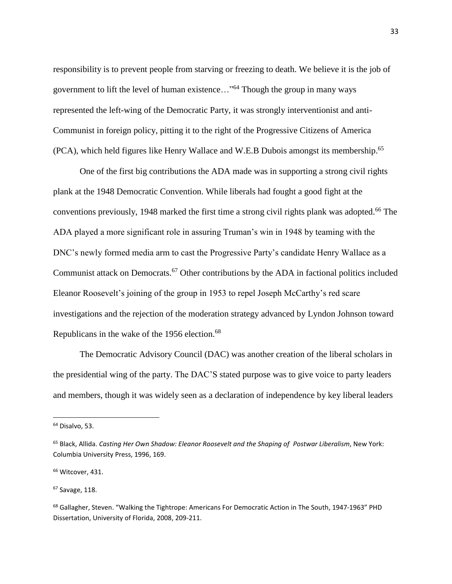responsibility is to prevent people from starving or freezing to death. We believe it is the job of government to lift the level of human existence…"<sup>64</sup> Though the group in many ways represented the left-wing of the Democratic Party, it was strongly interventionist and anti-Communist in foreign policy, pitting it to the right of the Progressive Citizens of America (PCA), which held figures like Henry Wallace and W.E.B Dubois amongst its membership.<sup>65</sup>

One of the first big contributions the ADA made was in supporting a strong civil rights plank at the 1948 Democratic Convention. While liberals had fought a good fight at the conventions previously, 1948 marked the first time a strong civil rights plank was adopted.<sup>66</sup> The ADA played a more significant role in assuring Truman's win in 1948 by teaming with the DNC's newly formed media arm to cast the Progressive Party's candidate Henry Wallace as a Communist attack on Democrats.<sup>67</sup> Other contributions by the ADA in factional politics included Eleanor Roosevelt's joining of the group in 1953 to repel Joseph McCarthy's red scare investigations and the rejection of the moderation strategy advanced by Lyndon Johnson toward Republicans in the wake of the 1956 election.<sup>68</sup>

The Democratic Advisory Council (DAC) was another creation of the liberal scholars in the presidential wing of the party. The DAC'S stated purpose was to give voice to party leaders and members, though it was widely seen as a declaration of independence by key liberal leaders

 $\overline{a}$ 

<sup>&</sup>lt;sup>64</sup> Disalvo, 53.

<sup>65</sup> Black, Allida. *Casting Her Own Shadow: Eleanor Roosevelt and the Shaping of Postwar Liberalism*, New York: Columbia University Press, 1996, 169.

<sup>&</sup>lt;sup>66</sup> Witcover, 431.

<sup>67</sup> Savage, 118.

<sup>&</sup>lt;sup>68</sup> Gallagher, Steven. "Walking the Tightrope: Americans For Democratic Action in The South, 1947-1963" PHD Dissertation, University of Florida, 2008, 209-211.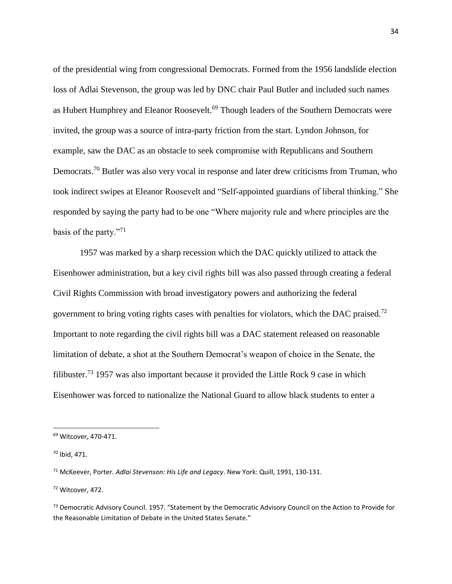of the presidential wing from congressional Democrats. Formed from the 1956 landslide election loss of Adlai Stevenson, the group was led by DNC chair Paul Butler and included such names as Hubert Humphrey and Eleanor Roosevelt.<sup>69</sup> Though leaders of the Southern Democrats were invited, the group was a source of intra-party friction from the start. Lyndon Johnson, for example, saw the DAC as an obstacle to seek compromise with Republicans and Southern Democrats.<sup>70</sup> Butler was also very vocal in response and later drew criticisms from Truman, who took indirect swipes at Eleanor Roosevelt and "Self-appointed guardians of liberal thinking." She responded by saying the party had to be one "Where majority rule and where principles are the basis of the party."<sup>71</sup>

1957 was marked by a sharp recession which the DAC quickly utilized to attack the Eisenhower administration, but a key civil rights bill was also passed through creating a federal Civil Rights Commission with broad investigatory powers and authorizing the federal government to bring voting rights cases with penalties for violators, which the DAC praised.<sup>72</sup> Important to note regarding the civil rights bill was a DAC statement released on reasonable limitation of debate, a shot at the Southern Democrat's weapon of choice in the Senate, the filibuster.<sup>73</sup> 1957 was also important because it provided the Little Rock 9 case in which Eisenhower was forced to nationalize the National Guard to allow black students to enter a

 $\overline{\phantom{a}}$ 

<sup>72</sup> Witcover, 472.

<sup>69</sup> Witcover, 470-471.

<sup>70</sup> Ibid, 471.

<sup>71</sup> McKeever, Porter. *Adlai Stevenson: His Life and Legacy*. New York: Quill, 1991, 130-131.

<sup>73</sup> Democratic Advisory Council. 1957. "Statement by the Democratic Advisory Council on the Action to Provide for the Reasonable Limitation of Debate in the United States Senate."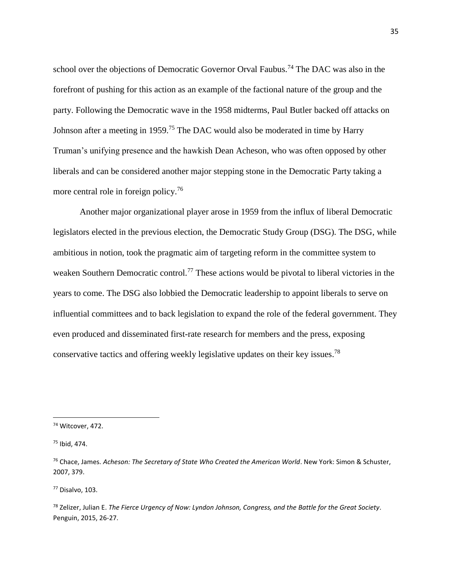school over the objections of Democratic Governor Orval Faubus.<sup>74</sup> The DAC was also in the forefront of pushing for this action as an example of the factional nature of the group and the party. Following the Democratic wave in the 1958 midterms, Paul Butler backed off attacks on Johnson after a meeting in 1959.<sup>75</sup> The DAC would also be moderated in time by Harry Truman's unifying presence and the hawkish Dean Acheson, who was often opposed by other liberals and can be considered another major stepping stone in the Democratic Party taking a more central role in foreign policy.<sup>76</sup>

Another major organizational player arose in 1959 from the influx of liberal Democratic legislators elected in the previous election, the Democratic Study Group (DSG). The DSG, while ambitious in notion, took the pragmatic aim of targeting reform in the committee system to weaken Southern Democratic control.<sup>77</sup> These actions would be pivotal to liberal victories in the years to come. The DSG also lobbied the Democratic leadership to appoint liberals to serve on influential committees and to back legislation to expand the role of the federal government. They even produced and disseminated first-rate research for members and the press, exposing conservative tactics and offering weekly legislative updates on their key issues.<sup>78</sup>

 $\overline{a}$ 

<sup>77</sup> Disalvo, 103.

<sup>74</sup> Witcover, 472.

 $75$  Ibid, 474.

<sup>76</sup> Chace, James. *Acheson: The Secretary of State Who Created the American World*. New York: Simon & Schuster, 2007, 379.

<sup>78</sup> Zelizer, Julian E. *The Fierce Urgency of Now: Lyndon Johnson, Congress, and the Battle for the Great Society*. Penguin, 2015, 26-27.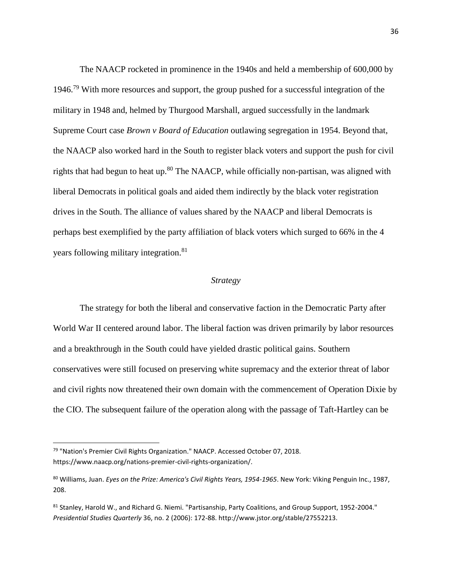The NAACP rocketed in prominence in the 1940s and held a membership of 600,000 by 1946.<sup>79</sup> With more resources and support, the group pushed for a successful integration of the military in 1948 and, helmed by Thurgood Marshall, argued successfully in the landmark Supreme Court case *Brown v Board of Education* outlawing segregation in 1954. Beyond that, the NAACP also worked hard in the South to register black voters and support the push for civil rights that had begun to heat up.<sup>80</sup> The NAACP, while officially non-partisan, was aligned with liberal Democrats in political goals and aided them indirectly by the black voter registration drives in the South. The alliance of values shared by the NAACP and liberal Democrats is perhaps best exemplified by the party affiliation of black voters which surged to 66% in the 4 years following military integration.<sup>81</sup>

#### *Strategy*

The strategy for both the liberal and conservative faction in the Democratic Party after World War II centered around labor. The liberal faction was driven primarily by labor resources and a breakthrough in the South could have yielded drastic political gains. Southern conservatives were still focused on preserving white supremacy and the exterior threat of labor and civil rights now threatened their own domain with the commencement of Operation Dixie by the CIO. The subsequent failure of the operation along with the passage of Taft-Hartley can be

<sup>79</sup> "Nation's Premier Civil Rights Organization." NAACP. Accessed October 07, 2018. https://www.naacp.org/nations-premier-civil-rights-organization/.

<sup>80</sup> Williams, Juan. *Eyes on the Prize: America's Civil Rights Years, 1954-1965*. New York: Viking Penguin Inc., 1987, 208.

<sup>81</sup> Stanley, Harold W., and Richard G. Niemi. "Partisanship, Party Coalitions, and Group Support, 1952-2004." *Presidential Studies Quarterly* 36, no. 2 (2006): 172-88. http://www.jstor.org/stable/27552213.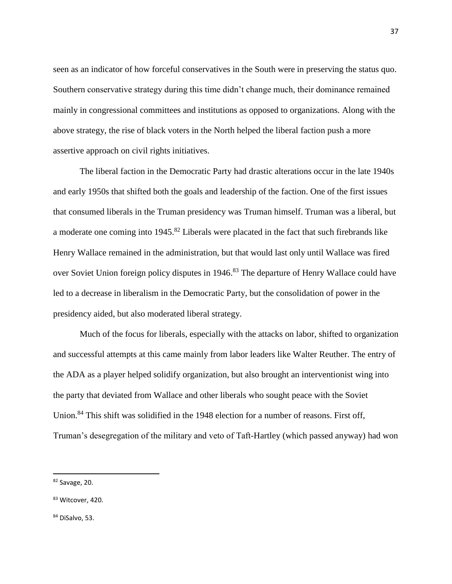seen as an indicator of how forceful conservatives in the South were in preserving the status quo. Southern conservative strategy during this time didn't change much, their dominance remained mainly in congressional committees and institutions as opposed to organizations. Along with the above strategy, the rise of black voters in the North helped the liberal faction push a more assertive approach on civil rights initiatives.

The liberal faction in the Democratic Party had drastic alterations occur in the late 1940s and early 1950s that shifted both the goals and leadership of the faction. One of the first issues that consumed liberals in the Truman presidency was Truman himself. Truman was a liberal, but a moderate one coming into 1945.<sup>82</sup> Liberals were placated in the fact that such firebrands like Henry Wallace remained in the administration, but that would last only until Wallace was fired over Soviet Union foreign policy disputes in 1946.<sup>83</sup> The departure of Henry Wallace could have led to a decrease in liberalism in the Democratic Party, but the consolidation of power in the presidency aided, but also moderated liberal strategy.

Much of the focus for liberals, especially with the attacks on labor, shifted to organization and successful attempts at this came mainly from labor leaders like Walter Reuther. The entry of the ADA as a player helped solidify organization, but also brought an interventionist wing into the party that deviated from Wallace and other liberals who sought peace with the Soviet Union.<sup>84</sup> This shift was solidified in the 1948 election for a number of reasons. First off, Truman's desegregation of the military and veto of Taft-Hartley (which passed anyway) had won

l

<sup>82</sup> Savage, 20.

<sup>83</sup> Witcover, 420.

<sup>84</sup> DiSalvo, 53.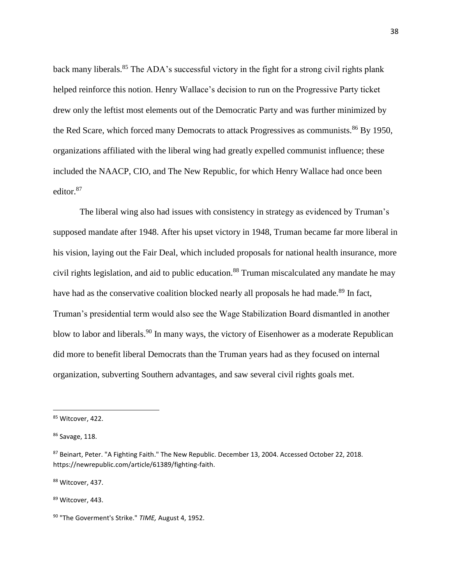back many liberals.<sup>85</sup> The ADA's successful victory in the fight for a strong civil rights plank helped reinforce this notion. Henry Wallace's decision to run on the Progressive Party ticket drew only the leftist most elements out of the Democratic Party and was further minimized by the Red Scare, which forced many Democrats to attack Progressives as communists.<sup>86</sup> By 1950, organizations affiliated with the liberal wing had greatly expelled communist influence; these included the NAACP, CIO, and The New Republic, for which Henry Wallace had once been editor.<sup>87</sup>

The liberal wing also had issues with consistency in strategy as evidenced by Truman's supposed mandate after 1948. After his upset victory in 1948, Truman became far more liberal in his vision, laying out the Fair Deal, which included proposals for national health insurance, more civil rights legislation, and aid to public education.<sup>88</sup> Truman miscalculated any mandate he may have had as the conservative coalition blocked nearly all proposals he had made.<sup>89</sup> In fact, Truman's presidential term would also see the Wage Stabilization Board dismantled in another blow to labor and liberals.<sup>90</sup> In many ways, the victory of Eisenhower as a moderate Republican did more to benefit liberal Democrats than the Truman years had as they focused on internal organization, subverting Southern advantages, and saw several civil rights goals met.

 $\overline{\phantom{a}}$ 

<sup>88</sup> Witcover, 437.

89 Witcover, 443.

<sup>85</sup> Witcover, 422.

<sup>86</sup> Savage, 118.

<sup>87</sup> Beinart, Peter. "A Fighting Faith." The New Republic. December 13, 2004. Accessed October 22, 2018. https://newrepublic.com/article/61389/fighting-faith.

<sup>90</sup> "The Goverment's Strike." *TIME,* August 4, 1952.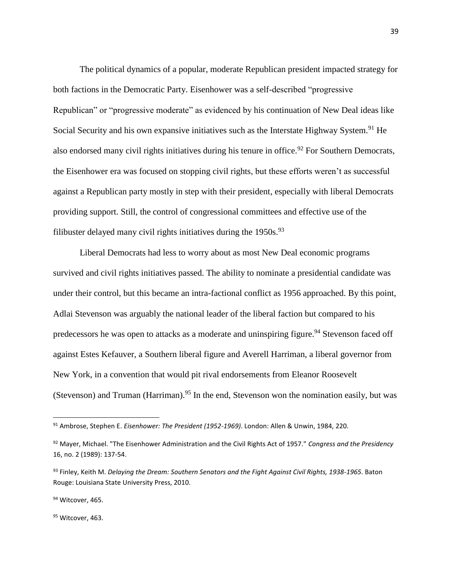The political dynamics of a popular, moderate Republican president impacted strategy for both factions in the Democratic Party. Eisenhower was a self-described "progressive Republican" or "progressive moderate" as evidenced by his continuation of New Deal ideas like Social Security and his own expansive initiatives such as the Interstate Highway System.<sup>91</sup> He also endorsed many civil rights initiatives during his tenure in office.<sup>92</sup> For Southern Democrats, the Eisenhower era was focused on stopping civil rights, but these efforts weren't as successful against a Republican party mostly in step with their president, especially with liberal Democrats providing support. Still, the control of congressional committees and effective use of the filibuster delayed many civil rights initiatives during the  $1950s$ .<sup>93</sup>

Liberal Democrats had less to worry about as most New Deal economic programs survived and civil rights initiatives passed. The ability to nominate a presidential candidate was under their control, but this became an intra-factional conflict as 1956 approached. By this point, Adlai Stevenson was arguably the national leader of the liberal faction but compared to his predecessors he was open to attacks as a moderate and uninspiring figure.<sup>94</sup> Stevenson faced off against Estes Kefauver, a Southern liberal figure and Averell Harriman, a liberal governor from New York, in a convention that would pit rival endorsements from Eleanor Roosevelt (Stevenson) and Truman (Harriman).<sup>95</sup> In the end, Stevenson won the nomination easily, but was

 $\overline{a}$ 

<sup>91</sup> Ambrose, Stephen E. *Eisenhower: The President (1952-1969)*. London: Allen & Unwin, 1984, 220.

<sup>92</sup> Mayer, Michael. "The Eisenhower Administration and the Civil Rights Act of 1957." *Congress and the Presidency* 16, no. 2 (1989): 137-54.

<sup>93</sup> Finley, Keith M. *Delaying the Dream: Southern Senators and the Fight Against Civil Rights, 1938-1965*. Baton Rouge: Louisiana State University Press, 2010.

<sup>94</sup> Witcover, 465.

<sup>95</sup> Witcover, 463.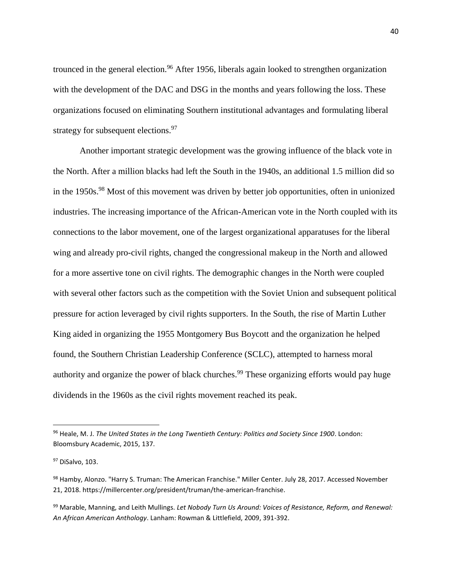trounced in the general election.<sup>96</sup> After 1956, liberals again looked to strengthen organization with the development of the DAC and DSG in the months and years following the loss. These organizations focused on eliminating Southern institutional advantages and formulating liberal strategy for subsequent elections.<sup>97</sup>

Another important strategic development was the growing influence of the black vote in the North. After a million blacks had left the South in the 1940s, an additional 1.5 million did so in the 1950s.<sup>98</sup> Most of this movement was driven by better job opportunities, often in unionized industries. The increasing importance of the African-American vote in the North coupled with its connections to the labor movement, one of the largest organizational apparatuses for the liberal wing and already pro-civil rights, changed the congressional makeup in the North and allowed for a more assertive tone on civil rights. The demographic changes in the North were coupled with several other factors such as the competition with the Soviet Union and subsequent political pressure for action leveraged by civil rights supporters. In the South, the rise of Martin Luther King aided in organizing the 1955 Montgomery Bus Boycott and the organization he helped found, the Southern Christian Leadership Conference (SCLC), attempted to harness moral authority and organize the power of black churches.<sup>99</sup> These organizing efforts would pay huge dividends in the 1960s as the civil rights movement reached its peak.

<sup>96</sup> Heale, M. J. *The United States in the Long Twentieth Century: Politics and Society Since 1900*. London: Bloomsbury Academic, 2015, 137.

<sup>97</sup> DiSalvo, 103.

<sup>98</sup> Hamby, Alonzo. "Harry S. Truman: The American Franchise." Miller Center. July 28, 2017. Accessed November 21, 2018. https://millercenter.org/president/truman/the-american-franchise.

<sup>99</sup> Marable, Manning, and Leith Mullings. *Let Nobody Turn Us Around: Voices of Resistance, Reform, and Renewal: An African American Anthology*. Lanham: Rowman & Littlefield, 2009, 391-392.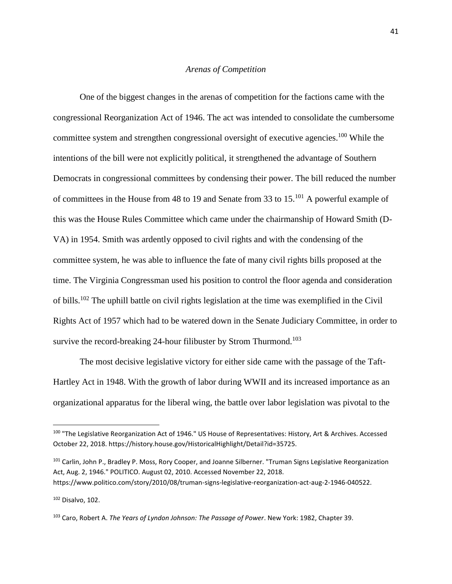## *Arenas of Competition*

One of the biggest changes in the arenas of competition for the factions came with the congressional Reorganization Act of 1946. The act was intended to consolidate the cumbersome committee system and strengthen congressional oversight of executive agencies.<sup>100</sup> While the intentions of the bill were not explicitly political, it strengthened the advantage of Southern Democrats in congressional committees by condensing their power. The bill reduced the number of committees in the House from 48 to 19 and Senate from 33 to 15.<sup>101</sup> A powerful example of this was the House Rules Committee which came under the chairmanship of Howard Smith (D-VA) in 1954. Smith was ardently opposed to civil rights and with the condensing of the committee system, he was able to influence the fate of many civil rights bills proposed at the time. The Virginia Congressman used his position to control the floor agenda and consideration of bills.<sup>102</sup> The uphill battle on civil rights legislation at the time was exemplified in the Civil Rights Act of 1957 which had to be watered down in the Senate Judiciary Committee, in order to survive the record-breaking 24-hour filibuster by Strom Thurmond.<sup>103</sup>

The most decisive legislative victory for either side came with the passage of the Taft-Hartley Act in 1948. With the growth of labor during WWII and its increased importance as an organizational apparatus for the liberal wing, the battle over labor legislation was pivotal to the

<sup>102</sup> Disalvo, 102.

<sup>100 &</sup>quot;The Legislative Reorganization Act of 1946." US House of Representatives: History, Art & Archives. Accessed October 22, 2018. https://history.house.gov/HistoricalHighlight/Detail?id=35725.

<sup>&</sup>lt;sup>101</sup> Carlin, John P., Bradley P. Moss, Rory Cooper, and Joanne Silberner. "Truman Signs Legislative Reorganization Act, Aug. 2, 1946." POLITICO. August 02, 2010. Accessed November 22, 2018. https://www.politico.com/story/2010/08/truman-signs-legislative-reorganization-act-aug-2-1946-040522.

<sup>103</sup> Caro, Robert A. *The Years of Lyndon Johnson: The Passage of Power*. New York: 1982, Chapter 39.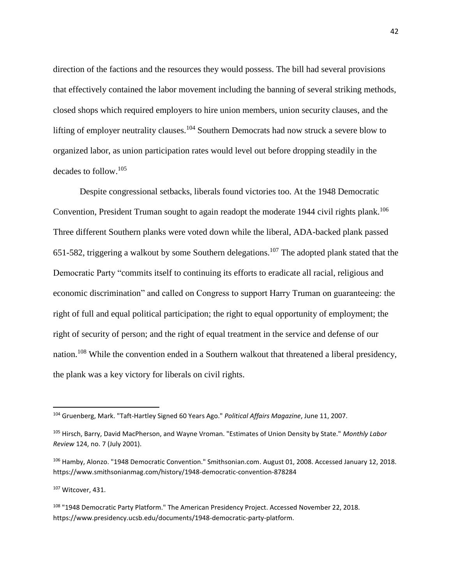direction of the factions and the resources they would possess. The bill had several provisions that effectively contained the labor movement including the banning of several striking methods, closed shops which required employers to hire union members, union security clauses, and the lifting of employer neutrality clauses.<sup>104</sup> Southern Democrats had now struck a severe blow to organized labor, as union participation rates would level out before dropping steadily in the decades to follow.<sup>105</sup>

Despite congressional setbacks, liberals found victories too. At the 1948 Democratic Convention, President Truman sought to again readopt the moderate 1944 civil rights plank.<sup>106</sup> Three different Southern planks were voted down while the liberal, ADA-backed plank passed 651-582, triggering a walkout by some Southern delegations.<sup>107</sup> The adopted plank stated that the Democratic Party "commits itself to continuing its efforts to eradicate all racial, religious and economic discrimination" and called on Congress to support Harry Truman on guaranteeing: the right of full and equal political participation; the right to equal opportunity of employment; the right of security of person; and the right of equal treatment in the service and defense of our nation.<sup>108</sup> While the convention ended in a Southern walkout that threatened a liberal presidency, the plank was a key victory for liberals on civil rights.

<sup>107</sup> Witcover, 431.

<sup>104</sup> Gruenberg, Mark. "Taft-Hartley Signed 60 Years Ago." *Political Affairs Magazine*, June 11, 2007.

<sup>105</sup> Hirsch, Barry, David MacPherson, and Wayne Vroman. "Estimates of Union Density by State." *Monthly Labor Review* 124, no. 7 (July 2001).

<sup>106</sup> Hamby, Alonzo. "1948 Democratic Convention." Smithsonian.com. August 01, 2008. Accessed January 12, 2018. https://www.smithsonianmag.com/history/1948-democratic-convention-878284

<sup>108 &</sup>quot;1948 Democratic Party Platform." The American Presidency Project. Accessed November 22, 2018. https://www.presidency.ucsb.edu/documents/1948-democratic-party-platform.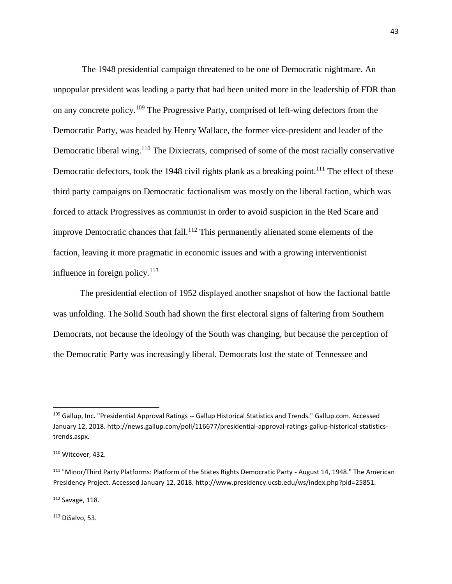The 1948 presidential campaign threatened to be one of Democratic nightmare. An unpopular president was leading a party that had been united more in the leadership of FDR than on any concrete policy.<sup>109</sup> The Progressive Party, comprised of left-wing defectors from the Democratic Party, was headed by Henry Wallace, the former vice-president and leader of the Democratic liberal wing.<sup>110</sup> The Dixiecrats, comprised of some of the most racially conservative Democratic defectors, took the 1948 civil rights plank as a breaking point.<sup>111</sup> The effect of these third party campaigns on Democratic factionalism was mostly on the liberal faction, which was forced to attack Progressives as communist in order to avoid suspicion in the Red Scare and improve Democratic chances that fall.<sup>112</sup> This permanently alienated some elements of the faction, leaving it more pragmatic in economic issues and with a growing interventionist influence in foreign policy. $113$ 

The presidential election of 1952 displayed another snapshot of how the factional battle was unfolding. The Solid South had shown the first electoral signs of faltering from Southern Democrats, not because the ideology of the South was changing, but because the perception of the Democratic Party was increasingly liberal. Democrats lost the state of Tennessee and

 $\overline{\phantom{a}}$ 

<sup>112</sup> Savage, 118.

 $113$  DiSalvo, 53.

<sup>109</sup> Gallup, Inc. "Presidential Approval Ratings -- Gallup Historical Statistics and Trends." Gallup.com. Accessed January 12, 2018. http://news.gallup.com/poll/116677/presidential-approval-ratings-gallup-historical-statisticstrends.aspx.

<sup>110</sup> Witcover, 432.

<sup>111</sup> "Minor/Third Party Platforms: Platform of the States Rights Democratic Party - August 14, 1948." The American Presidency Project. Accessed January 12, 2018. http://www.presidency.ucsb.edu/ws/index.php?pid=25851.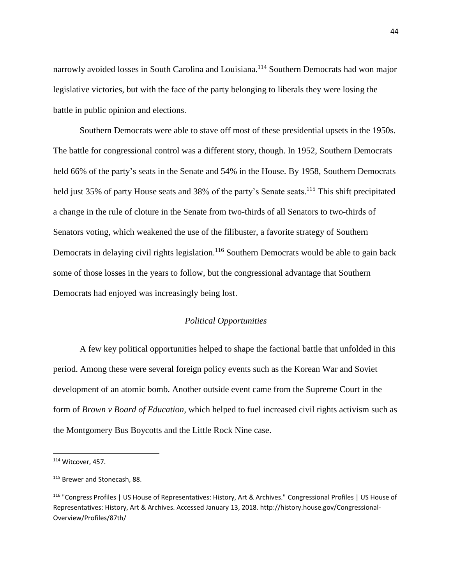narrowly avoided losses in South Carolina and Louisiana.<sup>114</sup> Southern Democrats had won major legislative victories, but with the face of the party belonging to liberals they were losing the battle in public opinion and elections.

Southern Democrats were able to stave off most of these presidential upsets in the 1950s. The battle for congressional control was a different story, though. In 1952, Southern Democrats held 66% of the party's seats in the Senate and 54% in the House. By 1958, Southern Democrats held just 35% of party House seats and 38% of the party's Senate seats.<sup>115</sup> This shift precipitated a change in the rule of cloture in the Senate from two-thirds of all Senators to two-thirds of Senators voting, which weakened the use of the filibuster, a favorite strategy of Southern Democrats in delaying civil rights legislation.<sup>116</sup> Southern Democrats would be able to gain back some of those losses in the years to follow, but the congressional advantage that Southern Democrats had enjoyed was increasingly being lost.

# *Political Opportunities*

A few key political opportunities helped to shape the factional battle that unfolded in this period. Among these were several foreign policy events such as the Korean War and Soviet development of an atomic bomb. Another outside event came from the Supreme Court in the form of *Brown v Board of Education,* which helped to fuel increased civil rights activism such as the Montgomery Bus Boycotts and the Little Rock Nine case.

l

<sup>&</sup>lt;sup>114</sup> Witcover, 457.

<sup>115</sup> Brewer and Stonecash, 88.

<sup>116</sup> "Congress Profiles | US House of Representatives: History, Art & Archives." Congressional Profiles | US House of Representatives: History, Art & Archives. Accessed January 13, 2018. http://history.house.gov/Congressional-Overview/Profiles/87th/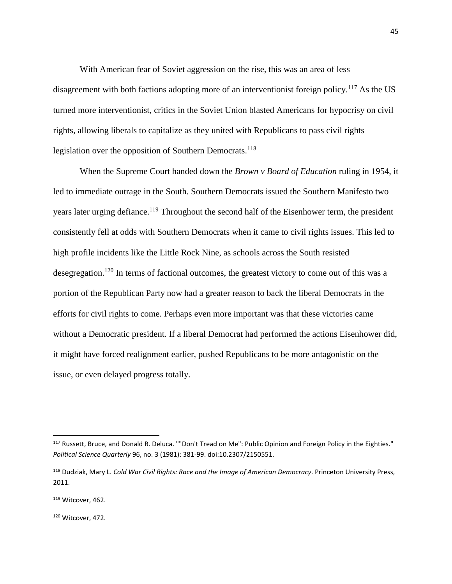With American fear of Soviet aggression on the rise, this was an area of less disagreement with both factions adopting more of an interventionist foreign policy.<sup>117</sup> As the US turned more interventionist, critics in the Soviet Union blasted Americans for hypocrisy on civil rights, allowing liberals to capitalize as they united with Republicans to pass civil rights legislation over the opposition of Southern Democrats.<sup>118</sup>

When the Supreme Court handed down the *Brown v Board of Education* ruling in 1954, it led to immediate outrage in the South. Southern Democrats issued the Southern Manifesto two years later urging defiance.<sup>119</sup> Throughout the second half of the Eisenhower term, the president consistently fell at odds with Southern Democrats when it came to civil rights issues. This led to high profile incidents like the Little Rock Nine, as schools across the South resisted desegregation.<sup>120</sup> In terms of factional outcomes, the greatest victory to come out of this was a portion of the Republican Party now had a greater reason to back the liberal Democrats in the efforts for civil rights to come. Perhaps even more important was that these victories came without a Democratic president. If a liberal Democrat had performed the actions Eisenhower did, it might have forced realignment earlier, pushed Republicans to be more antagonistic on the issue, or even delayed progress totally.

l

<sup>120</sup> Witcover, 472.

<sup>&</sup>lt;sup>117</sup> Russett, Bruce, and Donald R. Deluca. ""Don't Tread on Me": Public Opinion and Foreign Policy in the Eighties." *Political Science Quarterly* 96, no. 3 (1981): 381-99. doi:10.2307/2150551.

<sup>118</sup> Dudziak, Mary L. *Cold War Civil Rights: Race and the Image of American Democracy*. Princeton University Press, 2011.

<sup>119</sup> Witcover, 462.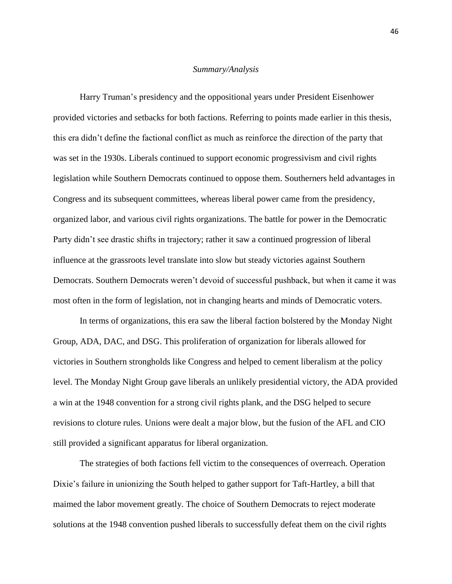### *Summary/Analysis*

Harry Truman's presidency and the oppositional years under President Eisenhower provided victories and setbacks for both factions. Referring to points made earlier in this thesis, this era didn't define the factional conflict as much as reinforce the direction of the party that was set in the 1930s. Liberals continued to support economic progressivism and civil rights legislation while Southern Democrats continued to oppose them. Southerners held advantages in Congress and its subsequent committees, whereas liberal power came from the presidency, organized labor, and various civil rights organizations. The battle for power in the Democratic Party didn't see drastic shifts in trajectory; rather it saw a continued progression of liberal influence at the grassroots level translate into slow but steady victories against Southern Democrats. Southern Democrats weren't devoid of successful pushback, but when it came it was most often in the form of legislation, not in changing hearts and minds of Democratic voters.

In terms of organizations, this era saw the liberal faction bolstered by the Monday Night Group, ADA, DAC, and DSG. This proliferation of organization for liberals allowed for victories in Southern strongholds like Congress and helped to cement liberalism at the policy level. The Monday Night Group gave liberals an unlikely presidential victory, the ADA provided a win at the 1948 convention for a strong civil rights plank, and the DSG helped to secure revisions to cloture rules. Unions were dealt a major blow, but the fusion of the AFL and CIO still provided a significant apparatus for liberal organization.

The strategies of both factions fell victim to the consequences of overreach. Operation Dixie's failure in unionizing the South helped to gather support for Taft-Hartley, a bill that maimed the labor movement greatly. The choice of Southern Democrats to reject moderate solutions at the 1948 convention pushed liberals to successfully defeat them on the civil rights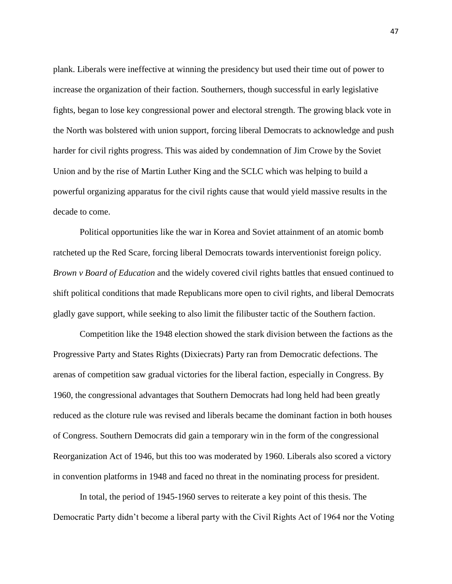plank. Liberals were ineffective at winning the presidency but used their time out of power to increase the organization of their faction. Southerners, though successful in early legislative fights, began to lose key congressional power and electoral strength. The growing black vote in the North was bolstered with union support, forcing liberal Democrats to acknowledge and push harder for civil rights progress. This was aided by condemnation of Jim Crowe by the Soviet Union and by the rise of Martin Luther King and the SCLC which was helping to build a powerful organizing apparatus for the civil rights cause that would yield massive results in the decade to come.

Political opportunities like the war in Korea and Soviet attainment of an atomic bomb ratcheted up the Red Scare, forcing liberal Democrats towards interventionist foreign policy. *Brown v Board of Education* and the widely covered civil rights battles that ensued continued to shift political conditions that made Republicans more open to civil rights, and liberal Democrats gladly gave support, while seeking to also limit the filibuster tactic of the Southern faction.

Competition like the 1948 election showed the stark division between the factions as the Progressive Party and States Rights (Dixiecrats) Party ran from Democratic defections. The arenas of competition saw gradual victories for the liberal faction, especially in Congress. By 1960, the congressional advantages that Southern Democrats had long held had been greatly reduced as the cloture rule was revised and liberals became the dominant faction in both houses of Congress. Southern Democrats did gain a temporary win in the form of the congressional Reorganization Act of 1946, but this too was moderated by 1960. Liberals also scored a victory in convention platforms in 1948 and faced no threat in the nominating process for president.

In total, the period of 1945-1960 serves to reiterate a key point of this thesis. The Democratic Party didn't become a liberal party with the Civil Rights Act of 1964 nor the Voting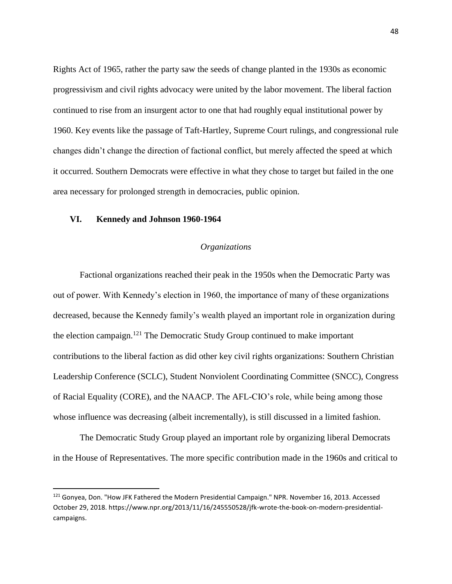Rights Act of 1965, rather the party saw the seeds of change planted in the 1930s as economic progressivism and civil rights advocacy were united by the labor movement. The liberal faction continued to rise from an insurgent actor to one that had roughly equal institutional power by 1960. Key events like the passage of Taft-Hartley, Supreme Court rulings, and congressional rule changes didn't change the direction of factional conflict, but merely affected the speed at which it occurred. Southern Democrats were effective in what they chose to target but failed in the one area necessary for prolonged strength in democracies, public opinion.

# **VI. Kennedy and Johnson 1960-1964**

 $\overline{\phantom{a}}$ 

# *Organizations*

Factional organizations reached their peak in the 1950s when the Democratic Party was out of power. With Kennedy's election in 1960, the importance of many of these organizations decreased, because the Kennedy family's wealth played an important role in organization during the election campaign.<sup>121</sup> The Democratic Study Group continued to make important contributions to the liberal faction as did other key civil rights organizations: Southern Christian Leadership Conference (SCLC), Student Nonviolent Coordinating Committee (SNCC), Congress of Racial Equality (CORE), and the NAACP. The AFL-CIO's role, while being among those whose influence was decreasing (albeit incrementally), is still discussed in a limited fashion.

The Democratic Study Group played an important role by organizing liberal Democrats in the House of Representatives. The more specific contribution made in the 1960s and critical to

<sup>121</sup> Gonyea, Don. "How JFK Fathered the Modern Presidential Campaign." NPR. November 16, 2013. Accessed October 29, 2018. https://www.npr.org/2013/11/16/245550528/jfk-wrote-the-book-on-modern-presidentialcampaigns.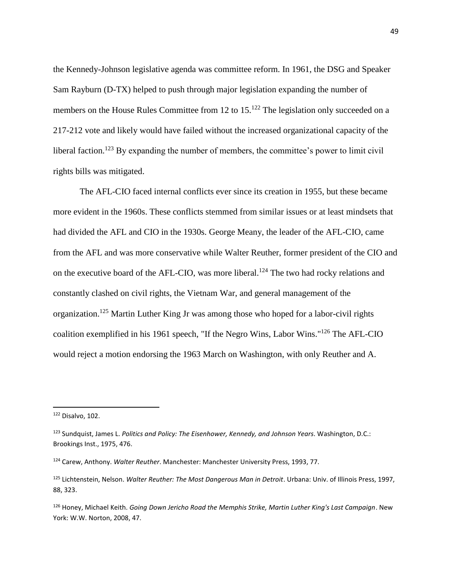the Kennedy-Johnson legislative agenda was committee reform. In 1961, the DSG and Speaker Sam Rayburn (D-TX) helped to push through major legislation expanding the number of members on the House Rules Committee from 12 to 15.<sup>122</sup> The legislation only succeeded on a 217-212 vote and likely would have failed without the increased organizational capacity of the liberal faction.<sup>123</sup> By expanding the number of members, the committee's power to limit civil rights bills was mitigated.

The AFL-CIO faced internal conflicts ever since its creation in 1955, but these became more evident in the 1960s. These conflicts stemmed from similar issues or at least mindsets that had divided the AFL and CIO in the 1930s. George Meany, the leader of the AFL-CIO, came from the AFL and was more conservative while Walter Reuther, former president of the CIO and on the executive board of the AFL-CIO, was more liberal.<sup>124</sup> The two had rocky relations and constantly clashed on civil rights, the Vietnam War, and general management of the organization.<sup>125</sup> Martin Luther King Jr was among those who hoped for a labor-civil rights coalition exemplified in his 1961 speech, "If the Negro Wins, Labor Wins." <sup>126</sup> The AFL-CIO would reject a motion endorsing the 1963 March on Washington, with only Reuther and A.

 $122$  Disalvo, 102.

<sup>123</sup> Sundquist, James L. *Politics and Policy: The Eisenhower, Kennedy, and Johnson Years*. Washington, D.C.: Brookings Inst., 1975, 476.

<sup>124</sup> Carew, Anthony. *Walter Reuther*. Manchester: Manchester University Press, 1993, 77.

<sup>125</sup> Lichtenstein, Nelson. *Walter Reuther: The Most Dangerous Man in Detroit*. Urbana: Univ. of Illinois Press, 1997, 88, 323.

<sup>126</sup> Honey, Michael Keith. *Going Down Jericho Road the Memphis Strike, Martin Luther King's Last Campaign*. New York: W.W. Norton, 2008, 47.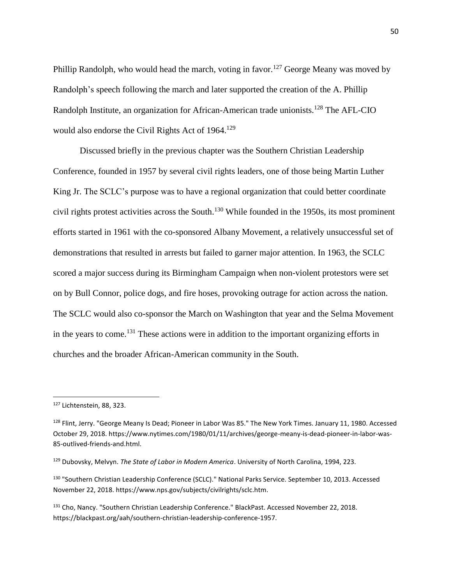Phillip Randolph, who would head the march, voting in favor.<sup>127</sup> George Meany was moved by Randolph's speech following the march and later supported the creation of the A. Phillip Randolph Institute, an organization for African-American trade unionists.<sup>128</sup> The AFL-CIO would also endorse the Civil Rights Act of 1964.<sup>129</sup>

Discussed briefly in the previous chapter was the Southern Christian Leadership Conference, founded in 1957 by several civil rights leaders, one of those being Martin Luther King Jr. The SCLC's purpose was to have a regional organization that could better coordinate civil rights protest activities across the South. <sup>130</sup> While founded in the 1950s, its most prominent efforts started in 1961 with the co-sponsored Albany Movement, a relatively unsuccessful set of demonstrations that resulted in arrests but failed to garner major attention. In 1963, the SCLC scored a major success during its Birmingham Campaign when non-violent protestors were set on by Bull Connor, police dogs, and fire hoses, provoking outrage for action across the nation. The SCLC would also co-sponsor the March on Washington that year and the Selma Movement in the years to come.<sup>131</sup> These actions were in addition to the important organizing efforts in churches and the broader African-American community in the South.

 $\overline{a}$ 

<sup>127</sup> Lichtenstein, 88, 323.

<sup>&</sup>lt;sup>128</sup> Flint, Jerry. "George Meany Is Dead; Pioneer in Labor Was 85." The New York Times. January 11, 1980. Accessed October 29, 2018. https://www.nytimes.com/1980/01/11/archives/george-meany-is-dead-pioneer-in-labor-was-85-outlived-friends-and.html.

<sup>129</sup> Dubovsky, Melvyn. *The State of Labor in Modern America*. University of North Carolina, 1994, 223.

<sup>130</sup> "Southern Christian Leadership Conference (SCLC)." National Parks Service. September 10, 2013. Accessed November 22, 2018. https://www.nps.gov/subjects/civilrights/sclc.htm.

<sup>131</sup> Cho, Nancy. "Southern Christian Leadership Conference." BlackPast. Accessed November 22, 2018. https://blackpast.org/aah/southern-christian-leadership-conference-1957.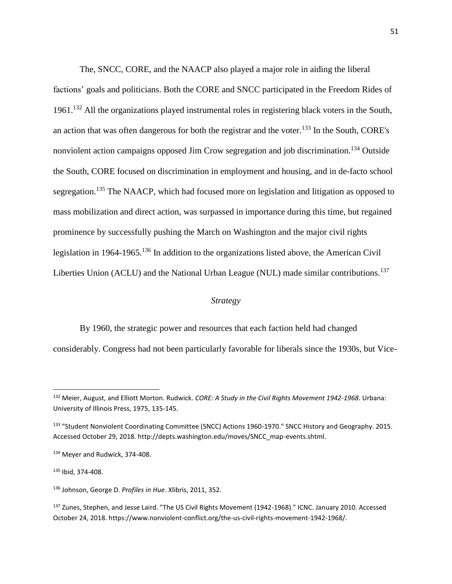The, SNCC, CORE, and the NAACP also played a major role in aiding the liberal factions' goals and politicians. Both the CORE and SNCC participated in the Freedom Rides of 1961. <sup>132</sup> All the organizations played instrumental roles in registering black voters in the South, an action that was often dangerous for both the registrar and the voter.<sup>133</sup> In the South, CORE's nonviolent action campaigns opposed Jim Crow segregation and job discrimination.<sup>134</sup> Outside the South, CORE focused on discrimination in employment and housing, and in de-facto school segregation.<sup>135</sup> The NAACP, which had focused more on legislation and litigation as opposed to mass mobilization and direct action, was surpassed in importance during this time, but regained prominence by successfully pushing the March on Washington and the major civil rights legislation in 1964-1965.<sup>136</sup> In addition to the organizations listed above, the American Civil Liberties Union (ACLU) and the National Urban League (NUL) made similar contributions.<sup>137</sup>

## *Strategy*

By 1960, the strategic power and resources that each faction held had changed

considerably. Congress had not been particularly favorable for liberals since the 1930s, but Vice-

<sup>132</sup> Meier, August, and Elliott Morton. Rudwick. *CORE: A Study in the Civil Rights Movement 1942-1968*. Urbana: University of Illinois Press, 1975, 135-145.

<sup>133 &</sup>quot;Student Nonviolent Coordinating Committee (SNCC) Actions 1960-1970." SNCC History and Geography. 2015. Accessed October 29, 2018. http://depts.washington.edu/moves/SNCC\_map-events.shtml.

<sup>134</sup> Meyer and Rudwick, 374-408.

<sup>135</sup> Ibid, 374-408.

<sup>136</sup> Johnson, George D. *Profiles in Hue*. Xlibris, 2011, 352.

<sup>137</sup> Zunes, Stephen, and Jesse Laird. "The US Civil Rights Movement (1942-1968)." ICNC. January 2010. Accessed October 24, 2018. https://www.nonviolent-conflict.org/the-us-civil-rights-movement-1942-1968/.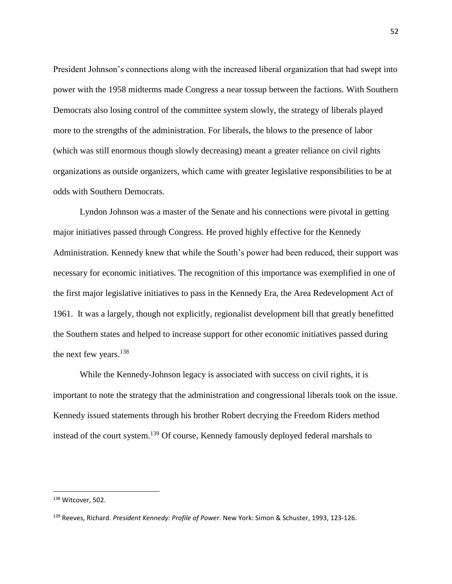President Johnson's connections along with the increased liberal organization that had swept into power with the 1958 midterms made Congress a near tossup between the factions. With Southern Democrats also losing control of the committee system slowly, the strategy of liberals played more to the strengths of the administration. For liberals, the blows to the presence of labor (which was still enormous though slowly decreasing) meant a greater reliance on civil rights organizations as outside organizers, which came with greater legislative responsibilities to be at odds with Southern Democrats.

Lyndon Johnson was a master of the Senate and his connections were pivotal in getting major initiatives passed through Congress. He proved highly effective for the Kennedy Administration. Kennedy knew that while the South's power had been reduced, their support was necessary for economic initiatives. The recognition of this importance was exemplified in one of the first major legislative initiatives to pass in the Kennedy Era, the Area Redevelopment Act of 1961. It was a largely, though not explicitly, regionalist development bill that greatly benefitted the Southern states and helped to increase support for other economic initiatives passed during the next few years.<sup>138</sup>

While the Kennedy-Johnson legacy is associated with success on civil rights, it is important to note the strategy that the administration and congressional liberals took on the issue. Kennedy issued statements through his brother Robert decrying the Freedom Riders method instead of the court system.<sup>139</sup> Of course, Kennedy famously deployed federal marshals to

l

<sup>138</sup> Witcover, 502.

<sup>139</sup> Reeves, Richard. *President Kennedy: Profile of Power*. New York: Simon & Schuster, 1993, 123-126.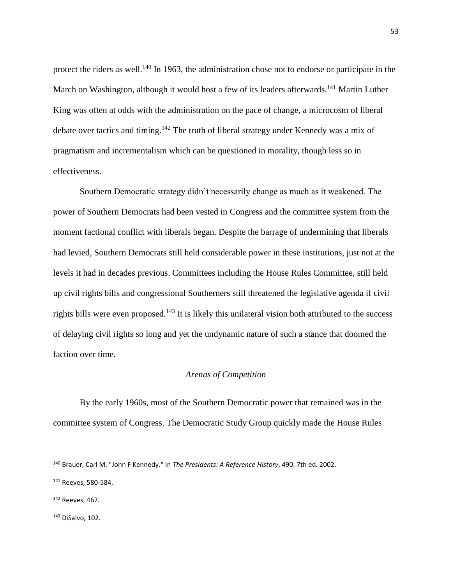protect the riders as well.<sup>140</sup> In 1963, the administration chose not to endorse or participate in the March on Washington, although it would host a few of its leaders afterwards.<sup>141</sup> Martin Luther King was often at odds with the administration on the pace of change, a microcosm of liberal debate over tactics and timing.<sup>142</sup> The truth of liberal strategy under Kennedy was a mix of pragmatism and incrementalism which can be questioned in morality, though less so in effectiveness.

Southern Democratic strategy didn't necessarily change as much as it weakened. The power of Southern Democrats had been vested in Congress and the committee system from the moment factional conflict with liberals began. Despite the barrage of undermining that liberals had levied, Southern Democrats still held considerable power in these institutions, just not at the levels it had in decades previous. Committees including the House Rules Committee, still held up civil rights bills and congressional Southerners still threatened the legislative agenda if civil rights bills were even proposed.<sup>143</sup> It is likely this unilateral vision both attributed to the success of delaying civil rights so long and yet the undynamic nature of such a stance that doomed the faction over time.

## *Arenas of Competition*

By the early 1960s, most of the Southern Democratic power that remained was in the committee system of Congress. The Democratic Study Group quickly made the House Rules

l

<sup>140</sup> Brauer, Carl M. "John F Kennedy." In *The Presidents: A Reference History*, 490. 7th ed. 2002.

<sup>141</sup> Reeves, 580-584.

<sup>142</sup> Reeves, 467.

<sup>143</sup> DiSalvo, 102.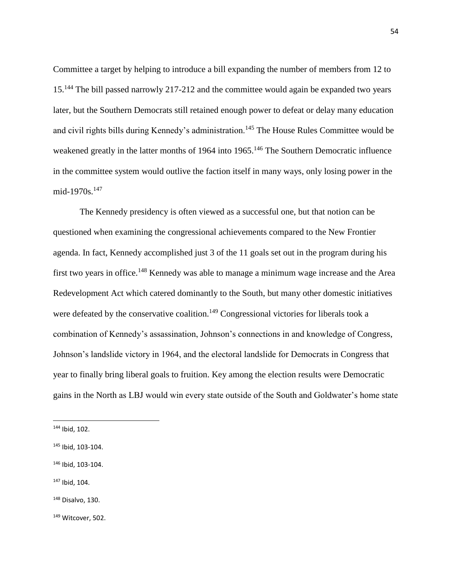Committee a target by helping to introduce a bill expanding the number of members from 12 to 15.<sup>144</sup> The bill passed narrowly 217-212 and the committee would again be expanded two years later, but the Southern Democrats still retained enough power to defeat or delay many education and civil rights bills during Kennedy's administration.<sup>145</sup> The House Rules Committee would be weakened greatly in the latter months of 1964 into 1965.<sup>146</sup> The Southern Democratic influence in the committee system would outlive the faction itself in many ways, only losing power in the mid-1970s.<sup>147</sup>

The Kennedy presidency is often viewed as a successful one, but that notion can be questioned when examining the congressional achievements compared to the New Frontier agenda. In fact, Kennedy accomplished just 3 of the 11 goals set out in the program during his first two years in office.<sup>148</sup> Kennedy was able to manage a minimum wage increase and the Area Redevelopment Act which catered dominantly to the South, but many other domestic initiatives were defeated by the conservative coalition.<sup>149</sup> Congressional victories for liberals took a combination of Kennedy's assassination, Johnson's connections in and knowledge of Congress, Johnson's landslide victory in 1964, and the electoral landslide for Democrats in Congress that year to finally bring liberal goals to fruition. Key among the election results were Democratic gains in the North as LBJ would win every state outside of the South and Goldwater's home state

 $\overline{\phantom{a}}$ 

<sup>147</sup> Ibid, 104.

<sup>144</sup> Ibid, 102.

<sup>145</sup> Ibid, 103-104.

<sup>146</sup> Ibid, 103-104.

<sup>148</sup> Disalvo, 130.

<sup>149</sup> Witcover, 502.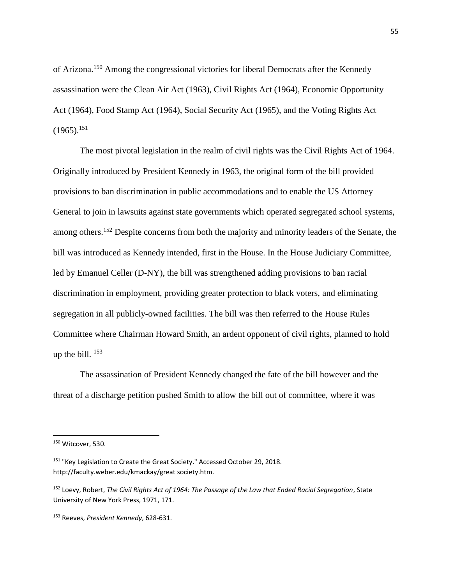of Arizona.<sup>150</sup> Among the congressional victories for liberal Democrats after the Kennedy assassination were the Clean Air Act (1963), Civil Rights Act (1964), Economic Opportunity Act (1964), Food Stamp Act (1964), Social Security Act (1965), and the Voting Rights Act  $(1965).^{151}$ 

The most pivotal legislation in the realm of civil rights was the Civil Rights Act of 1964. Originally introduced by President Kennedy in 1963, the original form of the bill provided provisions to ban discrimination in public accommodations and to enable the US Attorney General to join in lawsuits against state governments which operated segregated school systems, among others.<sup>152</sup> Despite concerns from both the majority and minority leaders of the Senate, the bill was introduced as Kennedy intended, first in the House. In the House Judiciary Committee, led by Emanuel Celler (D-NY), the bill was strengthened adding provisions to ban racial discrimination in employment, providing greater protection to black voters, and eliminating segregation in all publicly-owned facilities. The bill was then referred to the House Rules Committee where Chairman Howard Smith, an ardent opponent of civil rights, planned to hold up the bill.  $153$ 

The assassination of President Kennedy changed the fate of the bill however and the threat of a discharge petition pushed Smith to allow the bill out of committee, where it was

l

<sup>&</sup>lt;sup>150</sup> Witcover, 530.

<sup>&</sup>lt;sup>151</sup> "Key Legislation to Create the Great Society." Accessed October 29, 2018. http://faculty.weber.edu/kmackay/great society.htm.

<sup>152</sup> Loevy, Robert, *The Civil Rights Act of 1964: The Passage of the Law that Ended Racial Segregation*, State University of New York Press, 1971, 171.

<sup>153</sup> Reeves, *President Kennedy*, 628-631.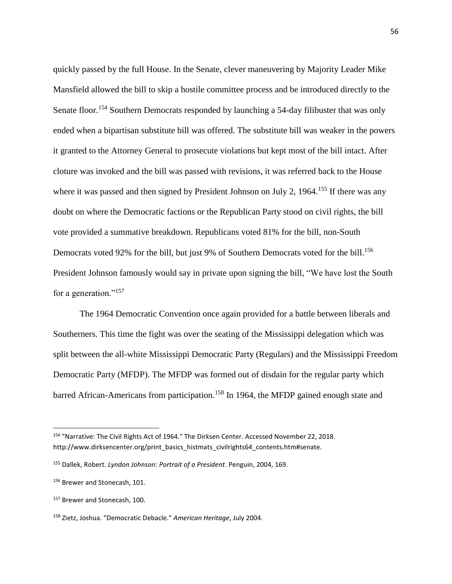quickly passed by the full House. In the Senate, clever maneuvering by Majority Leader Mike Mansfield allowed the bill to skip a hostile committee process and be introduced directly to the Senate floor.<sup>154</sup> Southern Democrats responded by launching a 54-day filibuster that was only ended when a bipartisan substitute bill was offered. The substitute bill was weaker in the powers it granted to the Attorney General to prosecute violations but kept most of the bill intact. After cloture was invoked and the bill was passed with revisions, it was referred back to the House where it was passed and then signed by President Johnson on July 2, 1964.<sup>155</sup> If there was any doubt on where the Democratic factions or the Republican Party stood on civil rights, the bill vote provided a summative breakdown. Republicans voted 81% for the bill, non-South Democrats voted 92% for the bill, but just 9% of Southern Democrats voted for the bill.<sup>156</sup> President Johnson famously would say in private upon signing the bill, "We have lost the South for a generation."<sup>157</sup>

The 1964 Democratic Convention once again provided for a battle between liberals and Southerners. This time the fight was over the seating of the Mississippi delegation which was split between the all-white Mississippi Democratic Party (Regulars) and the Mississippi Freedom Democratic Party (MFDP). The MFDP was formed out of disdain for the regular party which barred African-Americans from participation.<sup>158</sup> In 1964, the MFDP gained enough state and

<sup>154</sup> "Narrative: The Civil Rights Act of 1964." The Dirksen Center. Accessed November 22, 2018. http://www.dirksencenter.org/print\_basics\_histmats\_civilrights64\_contents.htm#senate.

<sup>155</sup> Dallek, Robert. *Lyndon Johnson: Portrait of a President*. Penguin, 2004, 169.

<sup>156</sup> Brewer and Stonecash, 101.

<sup>&</sup>lt;sup>157</sup> Brewer and Stonecash, 100.

<sup>158</sup> Zietz, Joshua. "Democratic Debacle." *American Heritage*, July 2004.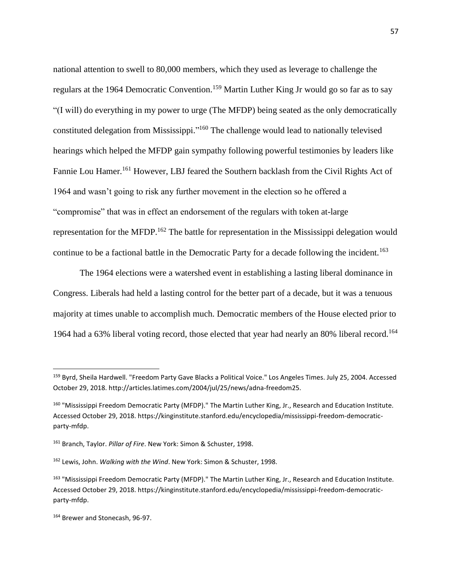national attention to swell to 80,000 members, which they used as leverage to challenge the regulars at the 1964 Democratic Convention.<sup>159</sup> Martin Luther King Jr would go so far as to say "(I will) do everything in my power to urge (The MFDP) being seated as the only democratically constituted delegation from Mississippi."<sup>160</sup> The challenge would lead to nationally televised hearings which helped the MFDP gain sympathy following powerful testimonies by leaders like Fannie Lou Hamer.<sup>161</sup> However, LBJ feared the Southern backlash from the Civil Rights Act of 1964 and wasn't going to risk any further movement in the election so he offered a "compromise" that was in effect an endorsement of the regulars with token at-large representation for the MFDP.<sup>162</sup> The battle for representation in the Mississippi delegation would continue to be a factional battle in the Democratic Party for a decade following the incident.<sup>163</sup>

The 1964 elections were a watershed event in establishing a lasting liberal dominance in Congress. Liberals had held a lasting control for the better part of a decade, but it was a tenuous majority at times unable to accomplish much. Democratic members of the House elected prior to 1964 had a 63% liberal voting record, those elected that year had nearly an 80% liberal record.<sup>164</sup>

<sup>159</sup> Byrd, Sheila Hardwell. "Freedom Party Gave Blacks a Political Voice." Los Angeles Times. July 25, 2004. Accessed October 29, 2018. http://articles.latimes.com/2004/jul/25/news/adna-freedom25.

<sup>&</sup>lt;sup>160</sup> "Mississippi Freedom Democratic Party (MFDP)." The Martin Luther King, Jr., Research and Education Institute. Accessed October 29, 2018. https://kinginstitute.stanford.edu/encyclopedia/mississippi-freedom-democraticparty-mfdp.

<sup>161</sup> Branch, Taylor. *Pillar of Fire*. New York: Simon & Schuster, 1998.

<sup>162</sup> Lewis, John. *Walking with the Wind*. New York: Simon & Schuster, 1998.

<sup>&</sup>lt;sup>163</sup> "Mississippi Freedom Democratic Party (MFDP)." The Martin Luther King, Jr., Research and Education Institute. Accessed October 29, 2018. https://kinginstitute.stanford.edu/encyclopedia/mississippi-freedom-democraticparty-mfdp.

<sup>164</sup> Brewer and Stonecash, 96-97.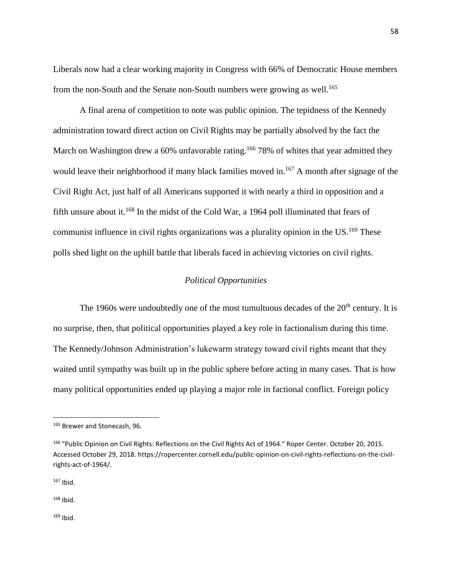Liberals now had a clear working majority in Congress with 66% of Democratic House members from the non-South and the Senate non-South numbers were growing as well.<sup>165</sup>

A final arena of competition to note was public opinion. The tepidness of the Kennedy administration toward direct action on Civil Rights may be partially absolved by the fact the March on Washington drew a 60% unfavorable rating.<sup>166</sup> 78% of whites that year admitted they would leave their neighborhood if many black families moved in.<sup>167</sup> A month after signage of the Civil Right Act, just half of all Americans supported it with nearly a third in opposition and a fifth unsure about it.<sup>168</sup> In the midst of the Cold War, a 1964 poll illuminated that fears of communist influence in civil rights organizations was a plurality opinion in the  $US<sup>169</sup>$  These polls shed light on the uphill battle that liberals faced in achieving victories on civil rights.

# *Political Opportunities*

The 1960s were undoubtedly one of the most tumultuous decades of the  $20<sup>th</sup>$  century. It is no surprise, then, that political opportunities played a key role in factionalism during this time. The Kennedy/Johnson Administration's lukewarm strategy toward civil rights meant that they waited until sympathy was built up in the public sphere before acting in many cases. That is how many political opportunities ended up playing a major role in factional conflict. Foreign policy

<sup>167</sup> Ibid.

 $\overline{a}$ 

<sup>168</sup> Ibid.

<sup>169</sup> Ibid.

<sup>165</sup> Brewer and Stonecash, 96.

<sup>&</sup>lt;sup>166</sup> "Public Opinion on Civil Rights: Reflections on the Civil Rights Act of 1964." Roper Center. October 20, 2015. Accessed October 29, 2018. https://ropercenter.cornell.edu/public-opinion-on-civil-rights-reflections-on-the-civilrights-act-of-1964/.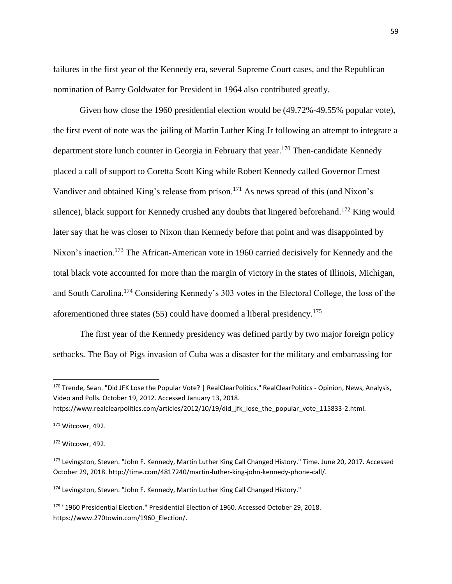failures in the first year of the Kennedy era, several Supreme Court cases, and the Republican nomination of Barry Goldwater for President in 1964 also contributed greatly.

Given how close the 1960 presidential election would be (49.72%-49.55% popular vote), the first event of note was the jailing of Martin Luther King Jr following an attempt to integrate a department store lunch counter in Georgia in February that year.<sup>170</sup> Then-candidate Kennedy placed a call of support to Coretta Scott King while Robert Kennedy called Governor Ernest Vandiver and obtained King's release from prison.<sup>171</sup> As news spread of this (and Nixon's silence), black support for Kennedy crushed any doubts that lingered beforehand.<sup>172</sup> King would later say that he was closer to Nixon than Kennedy before that point and was disappointed by Nixon's inaction.<sup>173</sup> The African-American vote in 1960 carried decisively for Kennedy and the total black vote accounted for more than the margin of victory in the states of Illinois, Michigan, and South Carolina.<sup>174</sup> Considering Kennedy's 303 votes in the Electoral College, the loss of the aforementioned three states  $(55)$  could have doomed a liberal presidency.<sup>175</sup>

The first year of the Kennedy presidency was defined partly by two major foreign policy setbacks. The Bay of Pigs invasion of Cuba was a disaster for the military and embarrassing for

 $\overline{a}$ 

<sup>170</sup> Trende, Sean. "Did JFK Lose the Popular Vote? | RealClearPolitics." RealClearPolitics - Opinion, News, Analysis, Video and Polls. October 19, 2012. Accessed January 13, 2018.

https://www.realclearpolitics.com/articles/2012/10/19/did\_jfk\_lose\_the\_popular\_vote\_115833-2.html.

<sup>171</sup> Witcover, 492.

<sup>172</sup> Witcover, 492.

<sup>173</sup> Levingston, Steven. "John F. Kennedy, Martin Luther King Call Changed History." Time. June 20, 2017. Accessed October 29, 2018. http://time.com/4817240/martin-luther-king-john-kennedy-phone-call/.

<sup>174</sup> Levingston, Steven. "John F. Kennedy, Martin Luther King Call Changed History."

<sup>175</sup> "1960 Presidential Election." Presidential Election of 1960. Accessed October 29, 2018. https://www.270towin.com/1960\_Election/.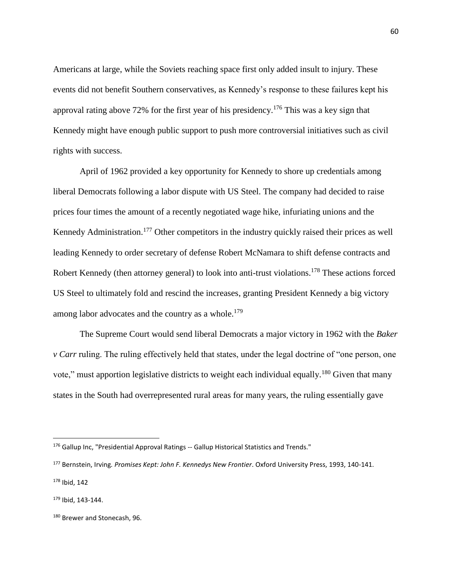Americans at large, while the Soviets reaching space first only added insult to injury. These events did not benefit Southern conservatives, as Kennedy's response to these failures kept his approval rating above 72% for the first year of his presidency.<sup>176</sup> This was a key sign that Kennedy might have enough public support to push more controversial initiatives such as civil rights with success.

April of 1962 provided a key opportunity for Kennedy to shore up credentials among liberal Democrats following a labor dispute with US Steel. The company had decided to raise prices four times the amount of a recently negotiated wage hike, infuriating unions and the Kennedy Administration.<sup>177</sup> Other competitors in the industry quickly raised their prices as well leading Kennedy to order secretary of defense Robert McNamara to shift defense contracts and Robert Kennedy (then attorney general) to look into anti-trust violations.<sup>178</sup> These actions forced US Steel to ultimately fold and rescind the increases, granting President Kennedy a big victory among labor advocates and the country as a whole.<sup>179</sup>

The Supreme Court would send liberal Democrats a major victory in 1962 with the *Baker v Carr* ruling. The ruling effectively held that states, under the legal doctrine of "one person, one vote," must apportion legislative districts to weight each individual equally.<sup>180</sup> Given that many states in the South had overrepresented rural areas for many years, the ruling essentially gave

<sup>176</sup> Gallup Inc, "Presidential Approval Ratings -- Gallup Historical Statistics and Trends."

<sup>177</sup> Bernstein, Irving*. Promises Kept: John F. Kennedys New Frontier*. Oxford University Press, 1993, 140-141.

<sup>178</sup> Ibid, 142

<sup>179</sup> Ibid, 143-144.

<sup>&</sup>lt;sup>180</sup> Brewer and Stonecash, 96.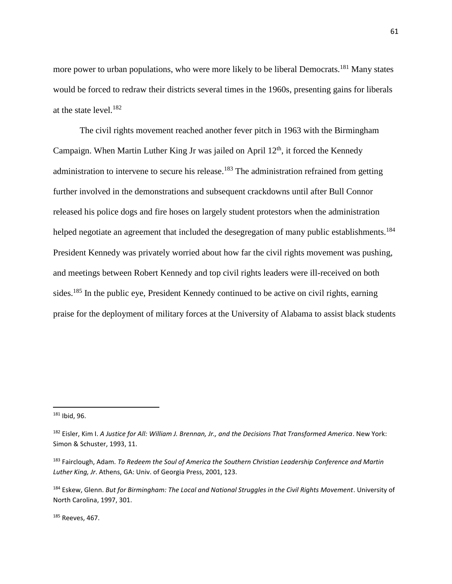more power to urban populations, who were more likely to be liberal Democrats.<sup>181</sup> Many states would be forced to redraw their districts several times in the 1960s, presenting gains for liberals at the state level.<sup>182</sup>

The civil rights movement reached another fever pitch in 1963 with the Birmingham Campaign. When Martin Luther King Jr was jailed on April  $12<sup>th</sup>$ , it forced the Kennedy administration to intervene to secure his release.<sup>183</sup> The administration refrained from getting further involved in the demonstrations and subsequent crackdowns until after Bull Connor released his police dogs and fire hoses on largely student protestors when the administration helped negotiate an agreement that included the desegregation of many public establishments.<sup>184</sup> President Kennedy was privately worried about how far the civil rights movement was pushing, and meetings between Robert Kennedy and top civil rights leaders were ill-received on both sides.<sup>185</sup> In the public eye, President Kennedy continued to be active on civil rights, earning praise for the deployment of military forces at the University of Alabama to assist black students

<sup>181</sup> Ibid, 96.

<sup>182</sup> Eisler, Kim I. *A Justice for All: William J. Brennan, Jr., and the Decisions That Transformed America*. New York: Simon & Schuster, 1993, 11.

<sup>183</sup> Fairclough, Adam. *To Redeem the Soul of America the Southern Christian Leadership Conference and Martin Luther King, Jr*. Athens, GA: Univ. of Georgia Press, 2001, 123.

<sup>184</sup> Eskew, Glenn. *But for Birmingham: The Local and National Struggles in the Civil Rights Movement*. University of North Carolina, 1997, 301.

<sup>185</sup> Reeves, 467.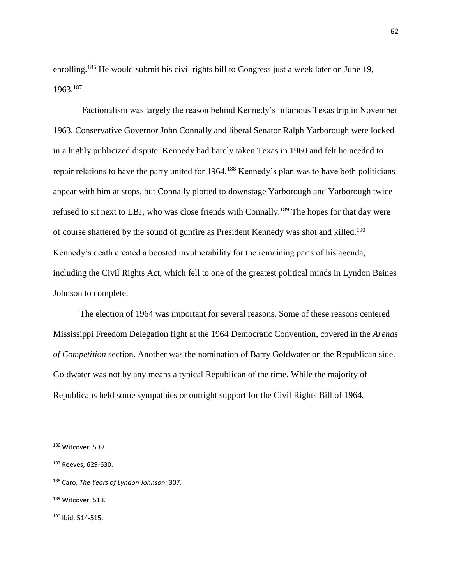enrolling.<sup>186</sup> He would submit his civil rights bill to Congress just a week later on June 19, 1963.<sup>187</sup>

Factionalism was largely the reason behind Kennedy's infamous Texas trip in November 1963. Conservative Governor John Connally and liberal Senator Ralph Yarborough were locked in a highly publicized dispute. Kennedy had barely taken Texas in 1960 and felt he needed to repair relations to have the party united for 1964.<sup>188</sup> Kennedy's plan was to have both politicians appear with him at stops, but Connally plotted to downstage Yarborough and Yarborough twice refused to sit next to LBJ, who was close friends with Connally.<sup>189</sup> The hopes for that day were of course shattered by the sound of gunfire as President Kennedy was shot and killed.<sup>190</sup> Kennedy's death created a boosted invulnerability for the remaining parts of his agenda, including the Civil Rights Act, which fell to one of the greatest political minds in Lyndon Baines Johnson to complete.

The election of 1964 was important for several reasons. Some of these reasons centered Mississippi Freedom Delegation fight at the 1964 Democratic Convention, covered in the *Arenas of Competition* section. Another was the nomination of Barry Goldwater on the Republican side. Goldwater was not by any means a typical Republican of the time. While the majority of Republicans held some sympathies or outright support for the Civil Rights Bill of 1964,

<sup>186</sup> Witcover, 509.

<sup>187</sup> Reeves, 629-630.

<sup>188</sup> Caro, *The Years of Lyndon Johnson:* 307.

<sup>189</sup> Witcover, 513.

<sup>190</sup> Ibid, 514-515.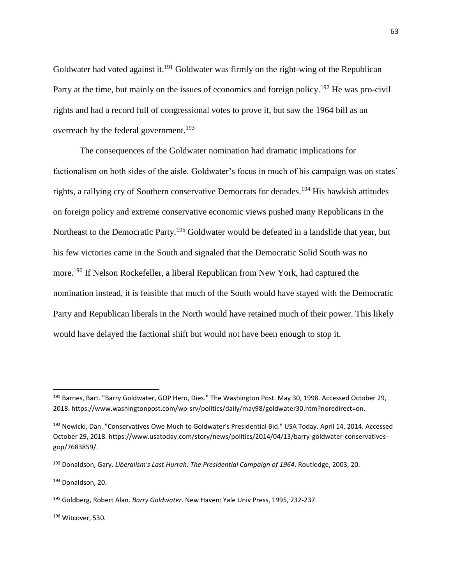Goldwater had voted against it.<sup>191</sup> Goldwater was firmly on the right-wing of the Republican Party at the time, but mainly on the issues of economics and foreign policy.<sup>192</sup> He was pro-civil rights and had a record full of congressional votes to prove it, but saw the 1964 bill as an overreach by the federal government.<sup>193</sup>

The consequences of the Goldwater nomination had dramatic implications for factionalism on both sides of the aisle. Goldwater's focus in much of his campaign was on states' rights, a rallying cry of Southern conservative Democrats for decades.<sup>194</sup> His hawkish attitudes on foreign policy and extreme conservative economic views pushed many Republicans in the Northeast to the Democratic Party.<sup>195</sup> Goldwater would be defeated in a landslide that year, but his few victories came in the South and signaled that the Democratic Solid South was no more.<sup>196</sup> If Nelson Rockefeller, a liberal Republican from New York, had captured the nomination instead, it is feasible that much of the South would have stayed with the Democratic Party and Republican liberals in the North would have retained much of their power. This likely would have delayed the factional shift but would not have been enough to stop it.

<sup>&</sup>lt;sup>191</sup> Barnes, Bart. "Barry Goldwater, GOP Hero, Dies." The Washington Post. May 30, 1998. Accessed October 29, 2018. https://www.washingtonpost.com/wp-srv/politics/daily/may98/goldwater30.htm?noredirect=on.

<sup>192</sup> Nowicki, Dan. "Conservatives Owe Much to Goldwater's Presidential Bid." USA Today. April 14, 2014. Accessed October 29, 2018. https://www.usatoday.com/story/news/politics/2014/04/13/barry-goldwater-conservativesgop/7683859/.

<sup>193</sup> Donaldson, Gary. *Liberalism's Last Hurrah: The Presidential Campaign of 1964*. Routledge, 2003, 20.

<sup>194</sup> Donaldson, 20.

<sup>195</sup> Goldberg, Robert Alan. *Barry Goldwater*. New Haven: Yale Univ Press, 1995, 232-237.

<sup>196</sup> Witcover, 530.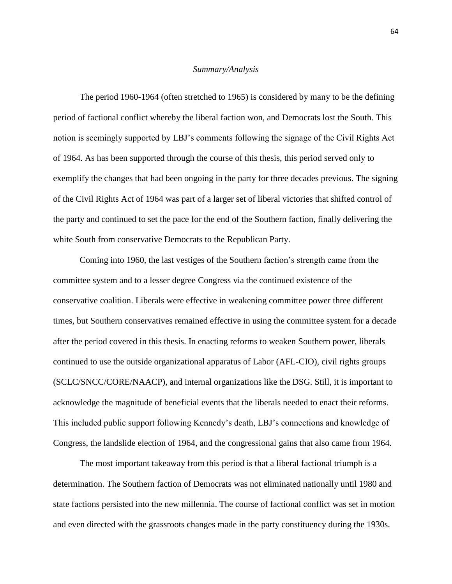#### *Summary/Analysis*

The period 1960-1964 (often stretched to 1965) is considered by many to be the defining period of factional conflict whereby the liberal faction won, and Democrats lost the South. This notion is seemingly supported by LBJ's comments following the signage of the Civil Rights Act of 1964. As has been supported through the course of this thesis, this period served only to exemplify the changes that had been ongoing in the party for three decades previous. The signing of the Civil Rights Act of 1964 was part of a larger set of liberal victories that shifted control of the party and continued to set the pace for the end of the Southern faction, finally delivering the white South from conservative Democrats to the Republican Party.

Coming into 1960, the last vestiges of the Southern faction's strength came from the committee system and to a lesser degree Congress via the continued existence of the conservative coalition. Liberals were effective in weakening committee power three different times, but Southern conservatives remained effective in using the committee system for a decade after the period covered in this thesis. In enacting reforms to weaken Southern power, liberals continued to use the outside organizational apparatus of Labor (AFL-CIO), civil rights groups (SCLC/SNCC/CORE/NAACP), and internal organizations like the DSG. Still, it is important to acknowledge the magnitude of beneficial events that the liberals needed to enact their reforms. This included public support following Kennedy's death, LBJ's connections and knowledge of Congress, the landslide election of 1964, and the congressional gains that also came from 1964.

The most important takeaway from this period is that a liberal factional triumph is a determination. The Southern faction of Democrats was not eliminated nationally until 1980 and state factions persisted into the new millennia. The course of factional conflict was set in motion and even directed with the grassroots changes made in the party constituency during the 1930s.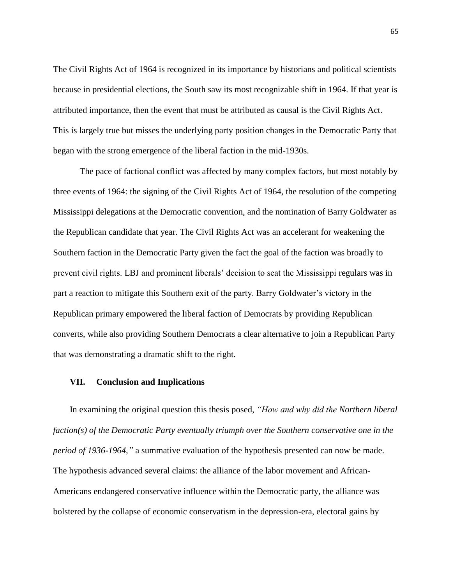The Civil Rights Act of 1964 is recognized in its importance by historians and political scientists because in presidential elections, the South saw its most recognizable shift in 1964. If that year is attributed importance, then the event that must be attributed as causal is the Civil Rights Act. This is largely true but misses the underlying party position changes in the Democratic Party that began with the strong emergence of the liberal faction in the mid-1930s.

The pace of factional conflict was affected by many complex factors, but most notably by three events of 1964: the signing of the Civil Rights Act of 1964, the resolution of the competing Mississippi delegations at the Democratic convention, and the nomination of Barry Goldwater as the Republican candidate that year. The Civil Rights Act was an accelerant for weakening the Southern faction in the Democratic Party given the fact the goal of the faction was broadly to prevent civil rights. LBJ and prominent liberals' decision to seat the Mississippi regulars was in part a reaction to mitigate this Southern exit of the party. Barry Goldwater's victory in the Republican primary empowered the liberal faction of Democrats by providing Republican converts, while also providing Southern Democrats a clear alternative to join a Republican Party that was demonstrating a dramatic shift to the right.

### **VII. Conclusion and Implications**

In examining the original question this thesis posed, *"How and why did the Northern liberal faction(s) of the Democratic Party eventually triumph over the Southern conservative one in the period of 1936-1964,"* a summative evaluation of the hypothesis presented can now be made. The hypothesis advanced several claims: the alliance of the labor movement and African-Americans endangered conservative influence within the Democratic party, the alliance was bolstered by the collapse of economic conservatism in the depression-era, electoral gains by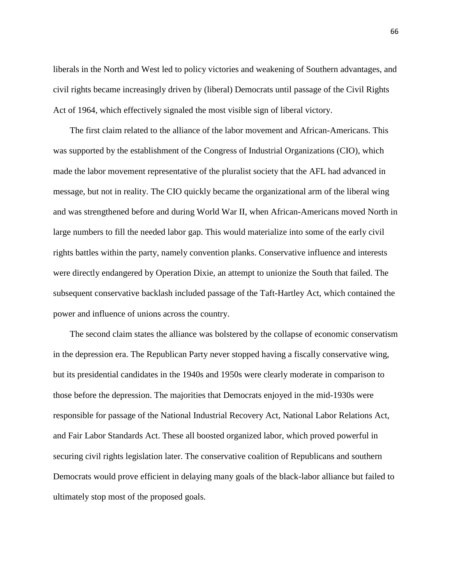liberals in the North and West led to policy victories and weakening of Southern advantages, and civil rights became increasingly driven by (liberal) Democrats until passage of the Civil Rights Act of 1964, which effectively signaled the most visible sign of liberal victory.

The first claim related to the alliance of the labor movement and African-Americans. This was supported by the establishment of the Congress of Industrial Organizations (CIO), which made the labor movement representative of the pluralist society that the AFL had advanced in message, but not in reality. The CIO quickly became the organizational arm of the liberal wing and was strengthened before and during World War II, when African-Americans moved North in large numbers to fill the needed labor gap. This would materialize into some of the early civil rights battles within the party, namely convention planks. Conservative influence and interests were directly endangered by Operation Dixie, an attempt to unionize the South that failed. The subsequent conservative backlash included passage of the Taft-Hartley Act, which contained the power and influence of unions across the country.

The second claim states the alliance was bolstered by the collapse of economic conservatism in the depression era. The Republican Party never stopped having a fiscally conservative wing, but its presidential candidates in the 1940s and 1950s were clearly moderate in comparison to those before the depression. The majorities that Democrats enjoyed in the mid-1930s were responsible for passage of the National Industrial Recovery Act, National Labor Relations Act, and Fair Labor Standards Act. These all boosted organized labor, which proved powerful in securing civil rights legislation later. The conservative coalition of Republicans and southern Democrats would prove efficient in delaying many goals of the black-labor alliance but failed to ultimately stop most of the proposed goals.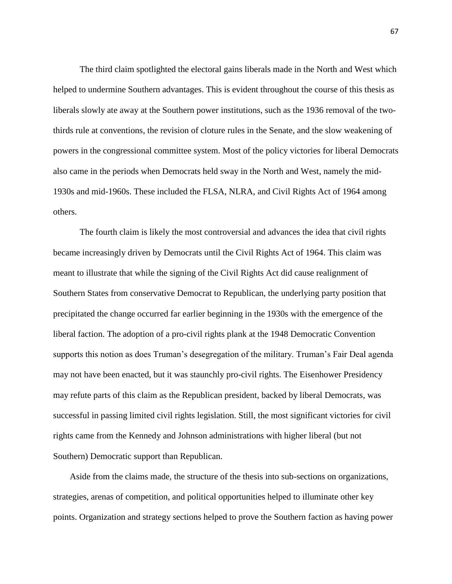The third claim spotlighted the electoral gains liberals made in the North and West which helped to undermine Southern advantages. This is evident throughout the course of this thesis as liberals slowly ate away at the Southern power institutions, such as the 1936 removal of the twothirds rule at conventions, the revision of cloture rules in the Senate, and the slow weakening of powers in the congressional committee system. Most of the policy victories for liberal Democrats also came in the periods when Democrats held sway in the North and West, namely the mid-1930s and mid-1960s. These included the FLSA, NLRA, and Civil Rights Act of 1964 among others.

The fourth claim is likely the most controversial and advances the idea that civil rights became increasingly driven by Democrats until the Civil Rights Act of 1964. This claim was meant to illustrate that while the signing of the Civil Rights Act did cause realignment of Southern States from conservative Democrat to Republican, the underlying party position that precipitated the change occurred far earlier beginning in the 1930s with the emergence of the liberal faction. The adoption of a pro-civil rights plank at the 1948 Democratic Convention supports this notion as does Truman's desegregation of the military. Truman's Fair Deal agenda may not have been enacted, but it was staunchly pro-civil rights. The Eisenhower Presidency may refute parts of this claim as the Republican president, backed by liberal Democrats, was successful in passing limited civil rights legislation. Still, the most significant victories for civil rights came from the Kennedy and Johnson administrations with higher liberal (but not Southern) Democratic support than Republican.

Aside from the claims made, the structure of the thesis into sub-sections on organizations, strategies, arenas of competition, and political opportunities helped to illuminate other key points. Organization and strategy sections helped to prove the Southern faction as having power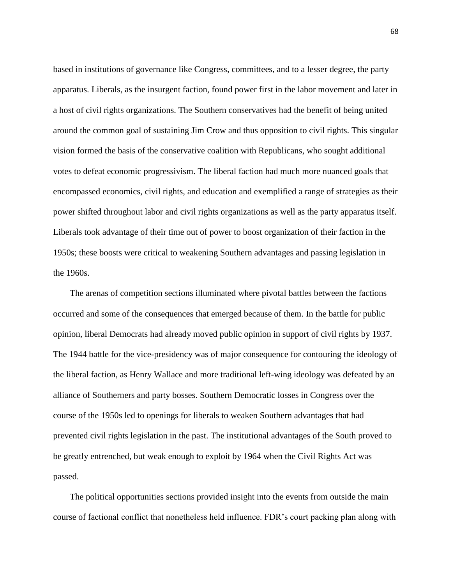based in institutions of governance like Congress, committees, and to a lesser degree, the party apparatus. Liberals, as the insurgent faction, found power first in the labor movement and later in a host of civil rights organizations. The Southern conservatives had the benefit of being united around the common goal of sustaining Jim Crow and thus opposition to civil rights. This singular vision formed the basis of the conservative coalition with Republicans, who sought additional votes to defeat economic progressivism. The liberal faction had much more nuanced goals that encompassed economics, civil rights, and education and exemplified a range of strategies as their power shifted throughout labor and civil rights organizations as well as the party apparatus itself. Liberals took advantage of their time out of power to boost organization of their faction in the 1950s; these boosts were critical to weakening Southern advantages and passing legislation in the 1960s.

The arenas of competition sections illuminated where pivotal battles between the factions occurred and some of the consequences that emerged because of them. In the battle for public opinion, liberal Democrats had already moved public opinion in support of civil rights by 1937. The 1944 battle for the vice-presidency was of major consequence for contouring the ideology of the liberal faction, as Henry Wallace and more traditional left-wing ideology was defeated by an alliance of Southerners and party bosses. Southern Democratic losses in Congress over the course of the 1950s led to openings for liberals to weaken Southern advantages that had prevented civil rights legislation in the past. The institutional advantages of the South proved to be greatly entrenched, but weak enough to exploit by 1964 when the Civil Rights Act was passed.

The political opportunities sections provided insight into the events from outside the main course of factional conflict that nonetheless held influence. FDR's court packing plan along with

68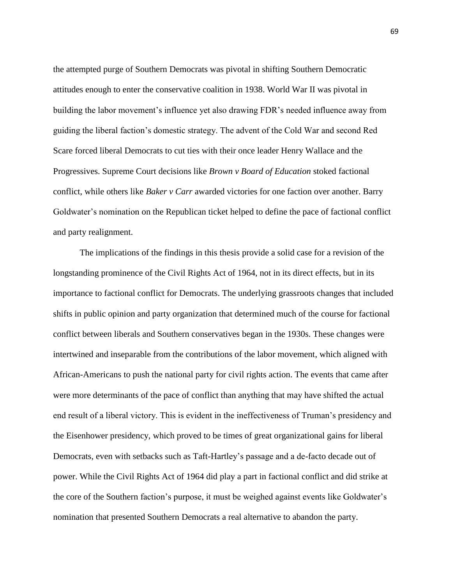the attempted purge of Southern Democrats was pivotal in shifting Southern Democratic attitudes enough to enter the conservative coalition in 1938. World War II was pivotal in building the labor movement's influence yet also drawing FDR's needed influence away from guiding the liberal faction's domestic strategy. The advent of the Cold War and second Red Scare forced liberal Democrats to cut ties with their once leader Henry Wallace and the Progressives. Supreme Court decisions like *Brown v Board of Education* stoked factional conflict, while others like *Baker v Carr* awarded victories for one faction over another. Barry Goldwater's nomination on the Republican ticket helped to define the pace of factional conflict and party realignment.

The implications of the findings in this thesis provide a solid case for a revision of the longstanding prominence of the Civil Rights Act of 1964, not in its direct effects, but in its importance to factional conflict for Democrats. The underlying grassroots changes that included shifts in public opinion and party organization that determined much of the course for factional conflict between liberals and Southern conservatives began in the 1930s. These changes were intertwined and inseparable from the contributions of the labor movement, which aligned with African-Americans to push the national party for civil rights action. The events that came after were more determinants of the pace of conflict than anything that may have shifted the actual end result of a liberal victory. This is evident in the ineffectiveness of Truman's presidency and the Eisenhower presidency, which proved to be times of great organizational gains for liberal Democrats, even with setbacks such as Taft-Hartley's passage and a de-facto decade out of power. While the Civil Rights Act of 1964 did play a part in factional conflict and did strike at the core of the Southern faction's purpose, it must be weighed against events like Goldwater's nomination that presented Southern Democrats a real alternative to abandon the party.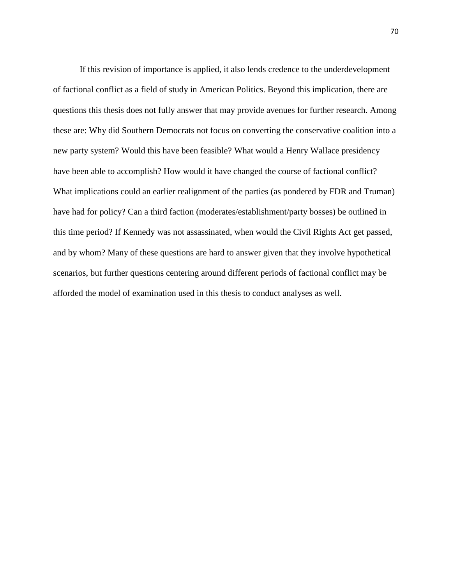If this revision of importance is applied, it also lends credence to the underdevelopment of factional conflict as a field of study in American Politics. Beyond this implication, there are questions this thesis does not fully answer that may provide avenues for further research. Among these are: Why did Southern Democrats not focus on converting the conservative coalition into a new party system? Would this have been feasible? What would a Henry Wallace presidency have been able to accomplish? How would it have changed the course of factional conflict? What implications could an earlier realignment of the parties (as pondered by FDR and Truman) have had for policy? Can a third faction (moderates/establishment/party bosses) be outlined in this time period? If Kennedy was not assassinated, when would the Civil Rights Act get passed, and by whom? Many of these questions are hard to answer given that they involve hypothetical scenarios, but further questions centering around different periods of factional conflict may be afforded the model of examination used in this thesis to conduct analyses as well.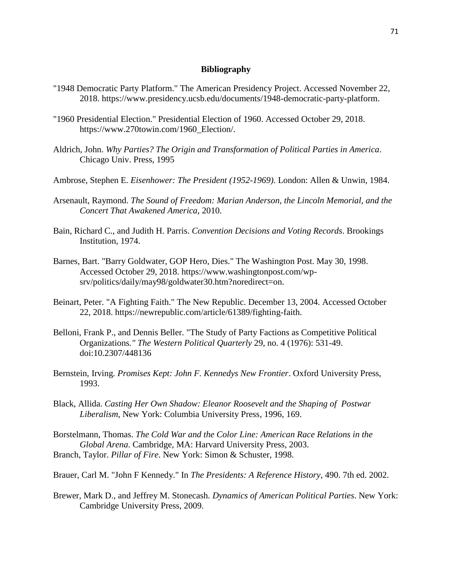## **Bibliography**

- "1948 Democratic Party Platform." The American Presidency Project. Accessed November 22, 2018. https://www.presidency.ucsb.edu/documents/1948-democratic-party-platform.
- "1960 Presidential Election." Presidential Election of 1960. Accessed October 29, 2018. https://www.270towin.com/1960\_Election/.
- Aldrich, John. *Why Parties? The Origin and Transformation of Political Parties in America*. Chicago Univ. Press, 1995
- Ambrose, Stephen E. *Eisenhower: The President (1952-1969)*. London: Allen & Unwin, 1984.
- Arsenault, Raymond. *The Sound of Freedom: Marian Anderson, the Lincoln Memorial, and the Concert That Awakened America*, 2010.
- Bain, Richard C., and Judith H. Parris. *Convention Decisions and Voting Records*. Brookings Institution, 1974.
- Barnes, Bart. "Barry Goldwater, GOP Hero, Dies." The Washington Post. May 30, 1998. Accessed October 29, 2018. https://www.washingtonpost.com/wpsrv/politics/daily/may98/goldwater30.htm?noredirect=on.
- Beinart, Peter. "A Fighting Faith." The New Republic. December 13, 2004. Accessed October 22, 2018. https://newrepublic.com/article/61389/fighting-faith.
- Belloni, Frank P., and Dennis Beller. "The Study of Party Factions as Competitive Political Organizations*." The Western Political Quarterly* 29, no. 4 (1976): 531-49. doi:10.2307/448136
- Bernstein, Irving*. Promises Kept: John F. Kennedys New Frontier*. Oxford University Press, 1993.
- Black, Allida. *Casting Her Own Shadow: Eleanor Roosevelt and the Shaping of Postwar Liberalism*, New York: Columbia University Press, 1996, 169.
- Borstelmann, Thomas. *The Cold War and the Color Line: American Race Relations in the Global Arena*. Cambridge, MA: Harvard University Press, 2003. Branch, Taylor. *Pillar of Fire*. New York: Simon & Schuster, 1998.

Brauer, Carl M. "John F Kennedy." In *The Presidents: A Reference History*, 490. 7th ed. 2002.

Brewer, Mark D., and Jeffrey M. Stonecash. *Dynamics of American Political Parties*. New York: Cambridge University Press, 2009.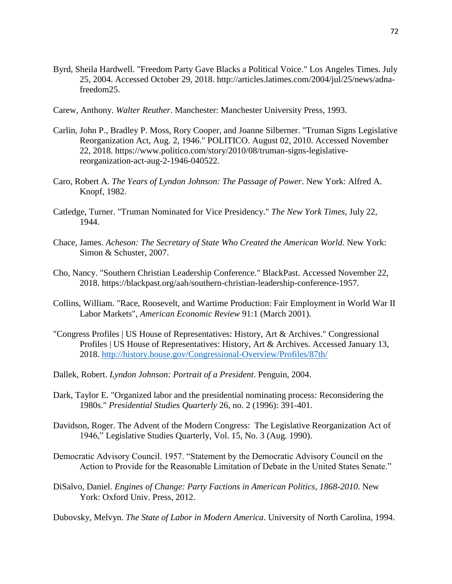- Byrd, Sheila Hardwell. "Freedom Party Gave Blacks a Political Voice." Los Angeles Times. July 25, 2004. Accessed October 29, 2018. http://articles.latimes.com/2004/jul/25/news/adnafreedom25.
- Carew, Anthony. *Walter Reuther*. Manchester: Manchester University Press, 1993.
- Carlin, John P., Bradley P. Moss, Rory Cooper, and Joanne Silberner. "Truman Signs Legislative Reorganization Act, Aug. 2, 1946." POLITICO. August 02, 2010. Accessed November 22, 2018. https://www.politico.com/story/2010/08/truman-signs-legislativereorganization-act-aug-2-1946-040522.
- Caro, Robert A. *The Years of Lyndon Johnson: The Passage of Power*. New York: Alfred A. Knopf, 1982.
- Catledge, Turner. "Truman Nominated for Vice Presidency." *The New York Times*, July 22, 1944.
- Chace, James. *Acheson: The Secretary of State Who Created the American World*. New York: Simon & Schuster, 2007.
- Cho, Nancy. "Southern Christian Leadership Conference." BlackPast. Accessed November 22, 2018. https://blackpast.org/aah/southern-christian-leadership-conference-1957.
- Collins, William. "Race, Roosevelt, and Wartime Production: Fair Employment in World War II Labor Markets", *American Economic Review* 91:1 (March 2001).
- "Congress Profiles | US House of Representatives: History, Art & Archives." Congressional Profiles | US House of Representatives: History, Art & Archives. Accessed January 13, 2018. http://history.house.gov/Congressional-Overview/Profiles/87th/
- Dallek, Robert. *Lyndon Johnson: Portrait of a President*. Penguin, 2004.
- Dark, Taylor E. "Organized labor and the presidential nominating process: Reconsidering the 1980s." *Presidential Studies Quarterly* 26, no. 2 (1996): 391-401.
- Davidson, Roger. The Advent of the Modern Congress: The Legislative Reorganization Act of 1946," Legislative Studies Quarterly, Vol. 15, No. 3 (Aug. 1990).
- Democratic Advisory Council. 1957. "Statement by the Democratic Advisory Council on the Action to Provide for the Reasonable Limitation of Debate in the United States Senate."
- DiSalvo, Daniel. *Engines of Change: Party Factions in American Politics, 1868-2010*. New York: Oxford Univ. Press, 2012.

Dubovsky, Melvyn. *The State of Labor in Modern America*. University of North Carolina, 1994.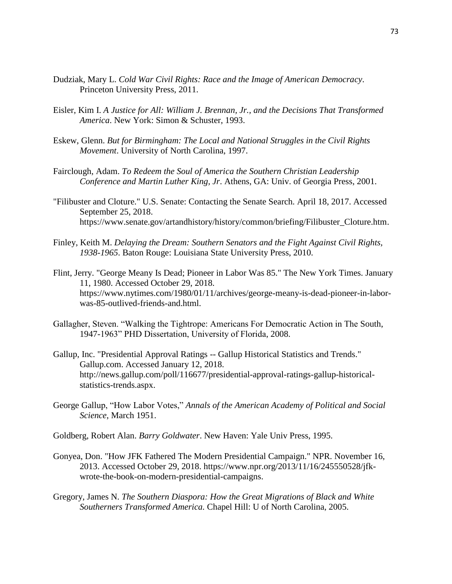- Dudziak, Mary L. *Cold War Civil Rights: Race and the Image of American Democracy*. Princeton University Press, 2011.
- Eisler, Kim I. *A Justice for All: William J. Brennan, Jr., and the Decisions That Transformed America*. New York: Simon & Schuster, 1993.
- Eskew, Glenn. *But for Birmingham: The Local and National Struggles in the Civil Rights Movement*. University of North Carolina, 1997.
- Fairclough, Adam. *To Redeem the Soul of America the Southern Christian Leadership Conference and Martin Luther King, Jr*. Athens, GA: Univ. of Georgia Press, 2001.
- "Filibuster and Cloture." U.S. Senate: Contacting the Senate Search. April 18, 2017. Accessed September 25, 2018. https://www.senate.gov/artandhistory/history/common/briefing/Filibuster\_Cloture.htm.
- Finley, Keith M. *Delaying the Dream: Southern Senators and the Fight Against Civil Rights, 1938-1965*. Baton Rouge: Louisiana State University Press, 2010.
- Flint, Jerry. "George Meany Is Dead; Pioneer in Labor Was 85." The New York Times. January 11, 1980. Accessed October 29, 2018. https://www.nytimes.com/1980/01/11/archives/george-meany-is-dead-pioneer-in-laborwas-85-outlived-friends-and.html.
- Gallagher, Steven. "Walking the Tightrope: Americans For Democratic Action in The South, 1947-1963" PHD Dissertation, University of Florida, 2008.
- Gallup, Inc. "Presidential Approval Ratings -- Gallup Historical Statistics and Trends." Gallup.com. Accessed January 12, 2018. http://news.gallup.com/poll/116677/presidential-approval-ratings-gallup-historicalstatistics-trends.aspx.
- George Gallup, "How Labor Votes," *Annals of the American Academy of Political and Social Science*, March 1951.
- Goldberg, Robert Alan. *Barry Goldwater*. New Haven: Yale Univ Press, 1995.
- Gonyea, Don. "How JFK Fathered The Modern Presidential Campaign." NPR. November 16, 2013. Accessed October 29, 2018. https://www.npr.org/2013/11/16/245550528/jfkwrote-the-book-on-modern-presidential-campaigns.
- Gregory, James N. *The Southern Diaspora: How the Great Migrations of Black and White Southerners Transformed America.* Chapel Hill: U of North Carolina, 2005.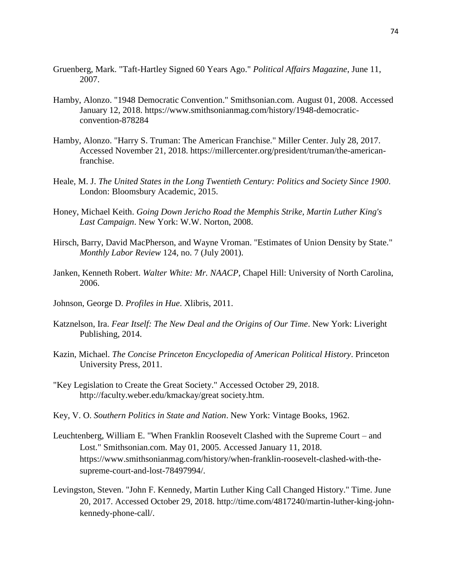- Gruenberg, Mark. "Taft-Hartley Signed 60 Years Ago." *Political Affairs Magazine*, June 11, 2007.
- Hamby, Alonzo. "1948 Democratic Convention." Smithsonian.com. August 01, 2008. Accessed January 12, 2018. https://www.smithsonianmag.com/history/1948-democraticconvention-878284
- Hamby, Alonzo. "Harry S. Truman: The American Franchise." Miller Center. July 28, 2017. Accessed November 21, 2018. https://millercenter.org/president/truman/the-americanfranchise.
- Heale, M. J. *The United States in the Long Twentieth Century: Politics and Society Since 1900*. London: Bloomsbury Academic, 2015.
- Honey, Michael Keith. *Going Down Jericho Road the Memphis Strike, Martin Luther King's Last Campaign*. New York: W.W. Norton, 2008.
- Hirsch, Barry, David MacPherson, and Wayne Vroman. "Estimates of Union Density by State." *Monthly Labor Review* 124, no. 7 (July 2001).
- Janken, Kenneth Robert. *Walter White: Mr. NAACP*, Chapel Hill: University of North Carolina, 2006.
- Johnson, George D. *Profiles in Hue*. Xlibris, 2011.
- Katznelson, Ira. *Fear Itself: The New Deal and the Origins of Our Time*. New York: Liveright Publishing, 2014.
- Kazin, Michael. *The Concise Princeton Encyclopedia of American Political History*. Princeton University Press, 2011.
- "Key Legislation to Create the Great Society." Accessed October 29, 2018. http://faculty.weber.edu/kmackay/great society.htm.
- Key, V. O. *Southern Politics in State and Nation*. New York: Vintage Books, 1962.
- Leuchtenberg, William E. "When Franklin Roosevelt Clashed with the Supreme Court and Lost." Smithsonian.com. May 01, 2005. Accessed January 11, 2018. https://www.smithsonianmag.com/history/when-franklin-roosevelt-clashed-with-thesupreme-court-and-lost-78497994/.
- Levingston, Steven. "John F. Kennedy, Martin Luther King Call Changed History." Time. June 20, 2017. Accessed October 29, 2018. http://time.com/4817240/martin-luther-king-johnkennedy-phone-call/.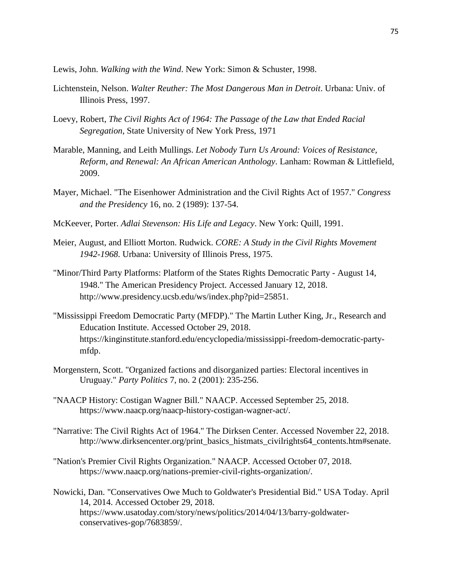Lewis, John. *Walking with the Wind*. New York: Simon & Schuster, 1998.

- Lichtenstein, Nelson. *Walter Reuther: The Most Dangerous Man in Detroit*. Urbana: Univ. of Illinois Press, 1997.
- Loevy, Robert, *The Civil Rights Act of 1964: The Passage of the Law that Ended Racial Segregation*, State University of New York Press, 1971
- Marable, Manning, and Leith Mullings. *Let Nobody Turn Us Around: Voices of Resistance, Reform, and Renewal: An African American Anthology*. Lanham: Rowman & Littlefield, 2009.
- Mayer, Michael. "The Eisenhower Administration and the Civil Rights Act of 1957." *Congress and the Presidency* 16, no. 2 (1989): 137-54.
- McKeever, Porter. *Adlai Stevenson: His Life and Legacy*. New York: Quill, 1991.
- Meier, August, and Elliott Morton. Rudwick. *CORE: A Study in the Civil Rights Movement 1942-1968*. Urbana: University of Illinois Press, 1975.
- "Minor/Third Party Platforms: Platform of the States Rights Democratic Party August 14, 1948." The American Presidency Project. Accessed January 12, 2018. http://www.presidency.ucsb.edu/ws/index.php?pid=25851.
- "Mississippi Freedom Democratic Party (MFDP)." The Martin Luther King, Jr., Research and Education Institute. Accessed October 29, 2018. https://kinginstitute.stanford.edu/encyclopedia/mississippi-freedom-democratic-partymfdp.
- Morgenstern, Scott. "Organized factions and disorganized parties: Electoral incentives in Uruguay." *Party Politics* 7, no. 2 (2001): 235-256.
- "NAACP History: Costigan Wagner Bill." NAACP. Accessed September 25, 2018. https://www.naacp.org/naacp-history-costigan-wagner-act/.
- "Narrative: The Civil Rights Act of 1964." The Dirksen Center. Accessed November 22, 2018. http://www.dirksencenter.org/print\_basics\_histmats\_civilrights64\_contents.htm#senate.
- "Nation's Premier Civil Rights Organization." NAACP. Accessed October 07, 2018. https://www.naacp.org/nations-premier-civil-rights-organization/.
- Nowicki, Dan. "Conservatives Owe Much to Goldwater's Presidential Bid." USA Today. April 14, 2014. Accessed October 29, 2018. https://www.usatoday.com/story/news/politics/2014/04/13/barry-goldwaterconservatives-gop/7683859/.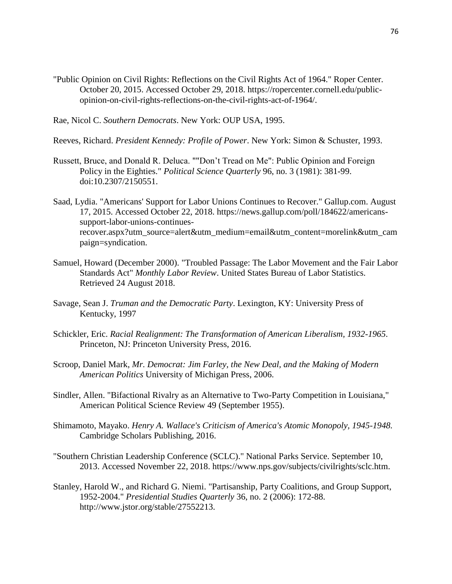"Public Opinion on Civil Rights: Reflections on the Civil Rights Act of 1964." Roper Center. October 20, 2015. Accessed October 29, 2018. https://ropercenter.cornell.edu/publicopinion-on-civil-rights-reflections-on-the-civil-rights-act-of-1964/.

Rae, Nicol C. *Southern Democrats*. New York: OUP USA, 1995.

Reeves, Richard. *President Kennedy: Profile of Power*. New York: Simon & Schuster, 1993.

- Russett, Bruce, and Donald R. Deluca. ""Don't Tread on Me": Public Opinion and Foreign Policy in the Eighties." *Political Science Quarterly* 96, no. 3 (1981): 381-99. doi:10.2307/2150551.
- Saad, Lydia. "Americans' Support for Labor Unions Continues to Recover." Gallup.com. August 17, 2015. Accessed October 22, 2018. https://news.gallup.com/poll/184622/americanssupport-labor-unions-continuesrecover.aspx?utm\_source=alert&utm\_medium=email&utm\_content=morelink&utm\_cam paign=syndication.
- Samuel, Howard (December 2000). "Troubled Passage: The Labor Movement and the Fair Labor Standards Act" *Monthly Labor Review*. United States Bureau of Labor Statistics. Retrieved 24 August 2018.
- Savage, Sean J. *Truman and the Democratic Party*. Lexington, KY: University Press of Kentucky, 1997
- Schickler, Eric. *Racial Realignment: The Transformation of American Liberalism, 1932-1965*. Princeton, NJ: Princeton University Press, 2016.
- Scroop, Daniel Mark, *Mr. Democrat: Jim Farley, the New Deal, and the Making of Modern American Politics* University of Michigan Press, 2006.
- Sindler, Allen. "Bifactional Rivalry as an Alternative to Two-Party Competition in Louisiana," American Political Science Review 49 (September 1955).
- Shimamoto, Mayako. *Henry A. Wallace's Criticism of America's Atomic Monopoly, 1945-1948.*  Cambridge Scholars Publishing, 2016.
- "Southern Christian Leadership Conference (SCLC)." National Parks Service. September 10, 2013. Accessed November 22, 2018. https://www.nps.gov/subjects/civilrights/sclc.htm.
- Stanley, Harold W., and Richard G. Niemi. "Partisanship, Party Coalitions, and Group Support, 1952-2004." *Presidential Studies Quarterly* 36, no. 2 (2006): 172-88. http://www.jstor.org/stable/27552213.